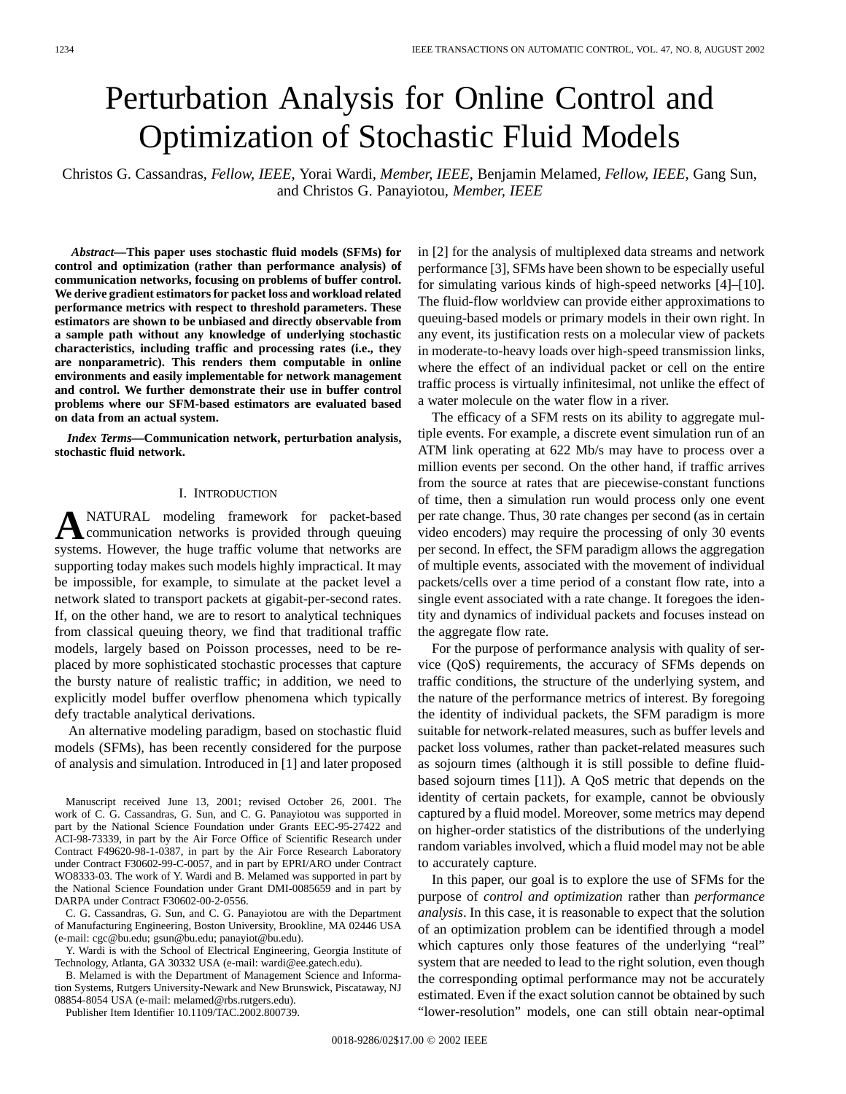# Perturbation Analysis for Online Control and Optimization of Stochastic Fluid Models

Christos G. Cassandras*, Fellow, IEEE*, Yorai Wardi*, Member, IEEE*, Benjamin Melamed*, Fellow, IEEE*, Gang Sun, and Christos G. Panayiotou*, Member, IEEE*

*Abstract—***This paper uses stochastic fluid models (SFMs) for control and optimization (rather than performance analysis) of communication networks, focusing on problems of buffer control. We derive gradient estimators for packet loss and workload related performance metrics with respect to threshold parameters. These estimators are shown to be unbiased and directly observable from a sample path without any knowledge of underlying stochastic characteristics, including traffic and processing rates (i.e., they are nonparametric). This renders them computable in online environments and easily implementable for network management and control. We further demonstrate their use in buffer control problems where our SFM-based estimators are evaluated based on data from an actual system.**

*Index Terms—***Communication network, perturbation analysis, stochastic fluid network.**

## I. INTRODUCTION

**A**NATURAL modeling framework for packet-based communication networks is provided through queuing systems. However, the huge traffic volume that networks are supporting today makes such models highly impractical. It may be impossible, for example, to simulate at the packet level a network slated to transport packets at gigabit-per-second rates. If, on the other hand, we are to resort to analytical techniques from classical queuing theory, we find that traditional traffic models, largely based on Poisson processes, need to be replaced by more sophisticated stochastic processes that capture the bursty nature of realistic traffic; in addition, we need to explicitly model buffer overflow phenomena which typically defy tractable analytical derivations.

An alternative modeling paradigm, based on stochastic fluid models (SFMs), has been recently considered for the purpose of analysis and simulation. Introduced in [1] and later proposed

Manuscript received June 13, 2001; revised October 26, 2001. The work of C. G. Cassandras, G. Sun, and C. G. Panayiotou was supported in part by the National Science Foundation under Grants EEC-95-27422 and ACI-98-73339, in part by the Air Force Office of Scientific Research under Contract F49620-98-1-0387, in part by the Air Force Research Laboratory under Contract F30602-99-C-0057, and in part by EPRI/ARO under Contract WO8333-03. The work of Y. Wardi and B. Melamed was supported in part by the National Science Foundation under Grant DMI-0085659 and in part by DARPA under Contract F30602-00-2-0556.

C. G. Cassandras, G. Sun, and C. G. Panayiotou are with the Department of Manufacturing Engineering, Boston University, Brookline, MA 02446 USA (e-mail: cgc@bu.edu; gsun@bu.edu; panayiot@bu.edu).

Y. Wardi is with the School of Electrical Engineering, Georgia Institute of Technology, Atlanta, GA 30332 USA (e-mail: wardi@ee.gatech.edu).

B. Melamed is with the Department of Management Science and Information Systems, Rutgers University-Newark and New Brunswick, Piscataway, NJ 08854-8054 USA (e-mail: melamed@rbs.rutgers.edu).

Publisher Item Identifier 10.1109/TAC.2002.800739.

in [2] for the analysis of multiplexed data streams and network performance [3], SFMs have been shown to be especially useful for simulating various kinds of high-speed networks [4]–[10]. The fluid-flow worldview can provide either approximations to queuing-based models or primary models in their own right. In any event, its justification rests on a molecular view of packets in moderate-to-heavy loads over high-speed transmission links, where the effect of an individual packet or cell on the entire traffic process is virtually infinitesimal, not unlike the effect of a water molecule on the water flow in a river.

The efficacy of a SFM rests on its ability to aggregate multiple events. For example, a discrete event simulation run of an ATM link operating at 622 Mb/s may have to process over a million events per second. On the other hand, if traffic arrives from the source at rates that are piecewise-constant functions of time, then a simulation run would process only one event per rate change. Thus, 30 rate changes per second (as in certain video encoders) may require the processing of only 30 events per second. In effect, the SFM paradigm allows the aggregation of multiple events, associated with the movement of individual packets/cells over a time period of a constant flow rate, into a single event associated with a rate change. It foregoes the identity and dynamics of individual packets and focuses instead on the aggregate flow rate.

For the purpose of performance analysis with quality of service (QoS) requirements, the accuracy of SFMs depends on traffic conditions, the structure of the underlying system, and the nature of the performance metrics of interest. By foregoing the identity of individual packets, the SFM paradigm is more suitable for network-related measures, such as buffer levels and packet loss volumes, rather than packet-related measures such as sojourn times (although it is still possible to define fluidbased sojourn times [11]). A QoS metric that depends on the identity of certain packets, for example, cannot be obviously captured by a fluid model. Moreover, some metrics may depend on higher-order statistics of the distributions of the underlying random variables involved, which a fluid model may not be able to accurately capture.

In this paper, our goal is to explore the use of SFMs for the purpose of *control and optimization* rather than *performance analysis*. In this case, it is reasonable to expect that the solution of an optimization problem can be identified through a model which captures only those features of the underlying "real" system that are needed to lead to the right solution, even though the corresponding optimal performance may not be accurately estimated. Even if the exact solution cannot be obtained by such "lower-resolution" models, one can still obtain near-optimal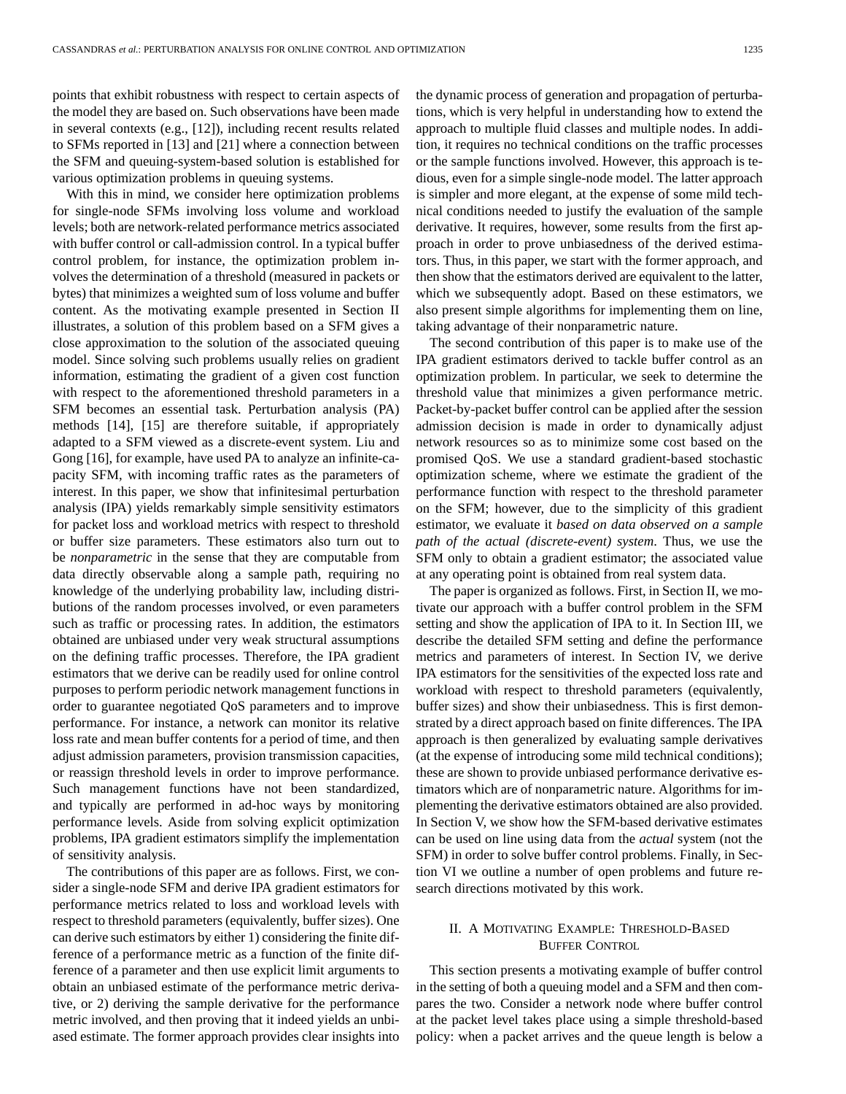points that exhibit robustness with respect to certain aspects of the model they are based on. Such observations have been made in several contexts (e.g., [12]), including recent results related to SFMs reported in [13] and [21] where a connection between the SFM and queuing-system-based solution is established for various optimization problems in queuing systems.

With this in mind, we consider here optimization problems for single-node SFMs involving loss volume and workload levels; both are network-related performance metrics associated with buffer control or call-admission control. In a typical buffer control problem, for instance, the optimization problem involves the determination of a threshold (measured in packets or bytes) that minimizes a weighted sum of loss volume and buffer content. As the motivating example presented in Section II illustrates, a solution of this problem based on a SFM gives a close approximation to the solution of the associated queuing model. Since solving such problems usually relies on gradient information, estimating the gradient of a given cost function with respect to the aforementioned threshold parameters in a SFM becomes an essential task. Perturbation analysis (PA) methods [14], [15] are therefore suitable, if appropriately adapted to a SFM viewed as a discrete-event system. Liu and Gong [16], for example, have used PA to analyze an infinite-capacity SFM, with incoming traffic rates as the parameters of interest. In this paper, we show that infinitesimal perturbation analysis (IPA) yields remarkably simple sensitivity estimators for packet loss and workload metrics with respect to threshold or buffer size parameters. These estimators also turn out to be *nonparametric* in the sense that they are computable from data directly observable along a sample path, requiring no knowledge of the underlying probability law, including distributions of the random processes involved, or even parameters such as traffic or processing rates. In addition, the estimators obtained are unbiased under very weak structural assumptions on the defining traffic processes. Therefore, the IPA gradient estimators that we derive can be readily used for online control purposes to perform periodic network management functions in order to guarantee negotiated QoS parameters and to improve performance. For instance, a network can monitor its relative loss rate and mean buffer contents for a period of time, and then adjust admission parameters, provision transmission capacities, or reassign threshold levels in order to improve performance. Such management functions have not been standardized, and typically are performed in ad-hoc ways by monitoring performance levels. Aside from solving explicit optimization problems, IPA gradient estimators simplify the implementation of sensitivity analysis.

The contributions of this paper are as follows. First, we consider a single-node SFM and derive IPA gradient estimators for performance metrics related to loss and workload levels with respect to threshold parameters (equivalently, buffer sizes). One can derive such estimators by either 1) considering the finite difference of a performance metric as a function of the finite difference of a parameter and then use explicit limit arguments to obtain an unbiased estimate of the performance metric derivative, or 2) deriving the sample derivative for the performance metric involved, and then proving that it indeed yields an unbiased estimate. The former approach provides clear insights into the dynamic process of generation and propagation of perturbations, which is very helpful in understanding how to extend the approach to multiple fluid classes and multiple nodes. In addition, it requires no technical conditions on the traffic processes or the sample functions involved. However, this approach is tedious, even for a simple single-node model. The latter approach is simpler and more elegant, at the expense of some mild technical conditions needed to justify the evaluation of the sample derivative. It requires, however, some results from the first approach in order to prove unbiasedness of the derived estimators. Thus, in this paper, we start with the former approach, and then show that the estimators derived are equivalent to the latter, which we subsequently adopt. Based on these estimators, we also present simple algorithms for implementing them on line, taking advantage of their nonparametric nature.

The second contribution of this paper is to make use of the IPA gradient estimators derived to tackle buffer control as an optimization problem. In particular, we seek to determine the threshold value that minimizes a given performance metric. Packet-by-packet buffer control can be applied after the session admission decision is made in order to dynamically adjust network resources so as to minimize some cost based on the promised QoS. We use a standard gradient-based stochastic optimization scheme, where we estimate the gradient of the performance function with respect to the threshold parameter on the SFM; however, due to the simplicity of this gradient estimator, we evaluate it *based on data observed on a sample path of the actual (discrete-event) system*. Thus, we use the SFM only to obtain a gradient estimator; the associated value at any operating point is obtained from real system data.

The paper is organized as follows. First, in Section II, we motivate our approach with a buffer control problem in the SFM setting and show the application of IPA to it. In Section III, we describe the detailed SFM setting and define the performance metrics and parameters of interest. In Section IV, we derive IPA estimators for the sensitivities of the expected loss rate and workload with respect to threshold parameters (equivalently, buffer sizes) and show their unbiasedness. This is first demonstrated by a direct approach based on finite differences. The IPA approach is then generalized by evaluating sample derivatives (at the expense of introducing some mild technical conditions); these are shown to provide unbiased performance derivative estimators which are of nonparametric nature. Algorithms for implementing the derivative estimators obtained are also provided. In Section V, we show how the SFM-based derivative estimates can be used on line using data from the *actual* system (not the SFM) in order to solve buffer control problems. Finally, in Section VI we outline a number of open problems and future research directions motivated by this work.

## II. A MOTIVATING EXAMPLE: THRESHOLD-BASED BUFFER CONTROL

This section presents a motivating example of buffer control in the setting of both a queuing model and a SFM and then compares the two. Consider a network node where buffer control at the packet level takes place using a simple threshold-based policy: when a packet arrives and the queue length is below a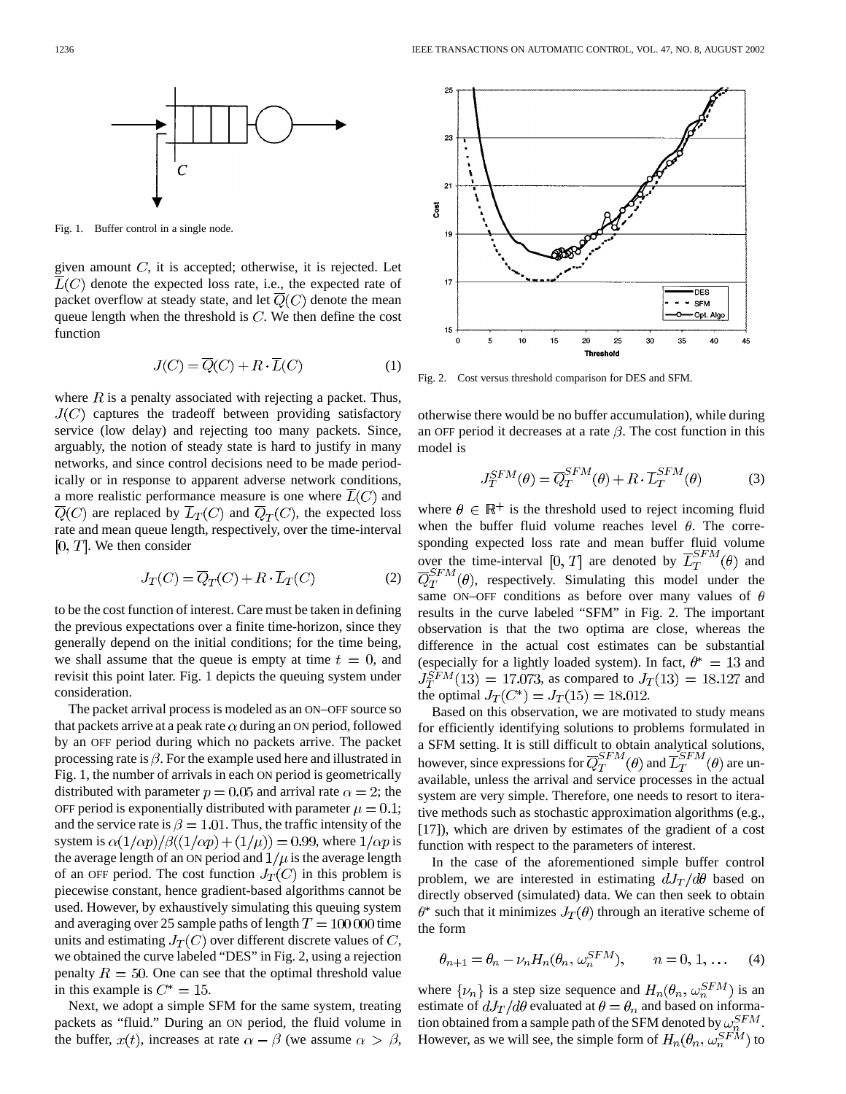

Fig. 1. Buffer control in a single node.

given amount  $C$ , it is accepted; otherwise, it is rejected. Let  $\overline{L}(C)$  denote the expected loss rate, i.e., the expected rate of packet overflow at steady state, and let  $\overline{Q}(C)$  denote the mean queue length when the threshold is  $C$ . We then define the cost function

$$
J(C) = \overline{Q}(C) + R \cdot \overline{L}(C)
$$
 (1)

where  $R$  is a penalty associated with rejecting a packet. Thus,  $J(C)$  captures the tradeoff between providing satisfactory service (low delay) and rejecting too many packets. Since, arguably, the notion of steady state is hard to justify in many networks, and since control decisions need to be made periodically or in response to apparent adverse network conditions, a more realistic performance measure is one where  $L(C)$  and  $Q(C)$  are replaced by  $L_T(C)$  and  $Q_T(C)$ , the expected loss rate and mean queue length, respectively, over the time-interval  $[0, T]$ . We then consider

$$
J_T(C) = \overline{Q}_T(C) + R \cdot \overline{L}_T(C) \tag{2}
$$

to be the cost function of interest. Care must be taken in defining the previous expectations over a finite time-horizon, since they generally depend on the initial conditions; for the time being, we shall assume that the queue is empty at time  $t = 0$ , and revisit this point later. Fig. 1 depicts the queuing system under consideration.

The packet arrival process is modeled as an ON–OFF source so that packets arrive at a peak rate  $\alpha$  during an ON period, followed by an OFF period during which no packets arrive. The packet processing rate is  $\beta$ . For the example used here and illustrated in Fig. 1, the number of arrivals in each ON period is geometrically distributed with parameter  $p = 0.05$  and arrival rate  $\alpha = 2$ ; the OFF period is exponentially distributed with parameter  $\mu = 0.1$ ; and the service rate is  $\beta = 1.01$ . Thus, the traffic intensity of the system is  $\alpha(1/\alpha p)/\beta((1/\alpha p) + (1/\mu)) = 0.99$ , where  $1/\alpha p$  is the average length of an ON period and  $1/\mu$  is the average length of an OFF period. The cost function  $J_T(C)$  in this problem is piecewise constant, hence gradient-based algorithms cannot be used. However, by exhaustively simulating this queuing system and averaging over 25 sample paths of length  $T = 100000$  time units and estimating  $J_T(C)$  over different discrete values of C, we obtained the curve labeled "DES" in Fig. 2, using a rejection penalty  $R = 50$ . One can see that the optimal threshold value in this example is  $C^* = 15$ .

Next, we adopt a simple SFM for the same system, treating packets as "fluid." During an ON period, the fluid volume in the buffer,  $x(t)$ , increases at rate  $\alpha - \beta$  (we assume  $\alpha > \beta$ ,



Fig. 2. Cost versus threshold comparison for DES and SFM.

otherwise there would be no buffer accumulation), while during an OFF period it decreases at a rate  $\beta$ . The cost function in this model is

$$
J_T^{SFM}(\theta) = \overline{Q}_T^{SFM}(\theta) + R \cdot \overline{L}_T^{SFM}(\theta)
$$
 (3)

where  $\theta \in \mathbb{R}^+$  is the threshold used to reject incoming fluid when the buffer fluid volume reaches level  $\theta$ . The corresponding expected loss rate and mean buffer fluid volume over the time-interval [0, T] are denoted by  $\overline{L}_T^{SFR}(\theta)$  and , respectively. Simulating this model under the same ON–OFF conditions as before over many values of  $\theta$ results in the curve labeled "SFM" in Fig. 2. The important observation is that the two optima are close, whereas the difference in the actual cost estimates can be substantial (especially for a lightly loaded system). In fact,  $\theta^* = 13$  and  $J_T^{SFRM}(13) = 17.073$ , as compared to  $J_T(13) = 18.127$  and the optimal  $J_T(C^*) = J_T(15) = 18.012$ .

Based on this observation, we are motivated to study means for efficiently identifying solutions to problems formulated in a SFM setting. It is still difficult to obtain analytical solutions, however, since expressions for  $\overline{Q}_T^{SFM}(\theta)$  and  $\overline{L}_T^{SFM}(\theta)$  are unavailable, unless the arrival and service processes in the actual system are very simple. Therefore, one needs to resort to iterative methods such as stochastic approximation algorithms (e.g., [17]), which are driven by estimates of the gradient of a cost function with respect to the parameters of interest.

In the case of the aforementioned simple buffer control problem, we are interested in estimating  $dJ_T/d\theta$  based on directly observed (simulated) data. We can then seek to obtain  $\theta^*$  such that it minimizes  $J_T(\theta)$  through an iterative scheme of the form

$$
\theta_{n+1} = \theta_n - \nu_n H_n(\theta_n, \omega_n^{SFM}), \qquad n = 0, 1, \dots \tag{4}
$$

where  $\{\nu_n\}$  is a step size sequence and  $H_n(\theta_n, \omega_n^{SFM})$  is an estimate of  $dJ_T/d\theta$  evaluated at  $\theta = \theta_n$  and based on information obtained from a sample path of the SFM denoted by  $\omega_n^{SFM}$ . However, as we will see, the simple form of  $H_n(\theta_n, \omega_n^{SFM})$  to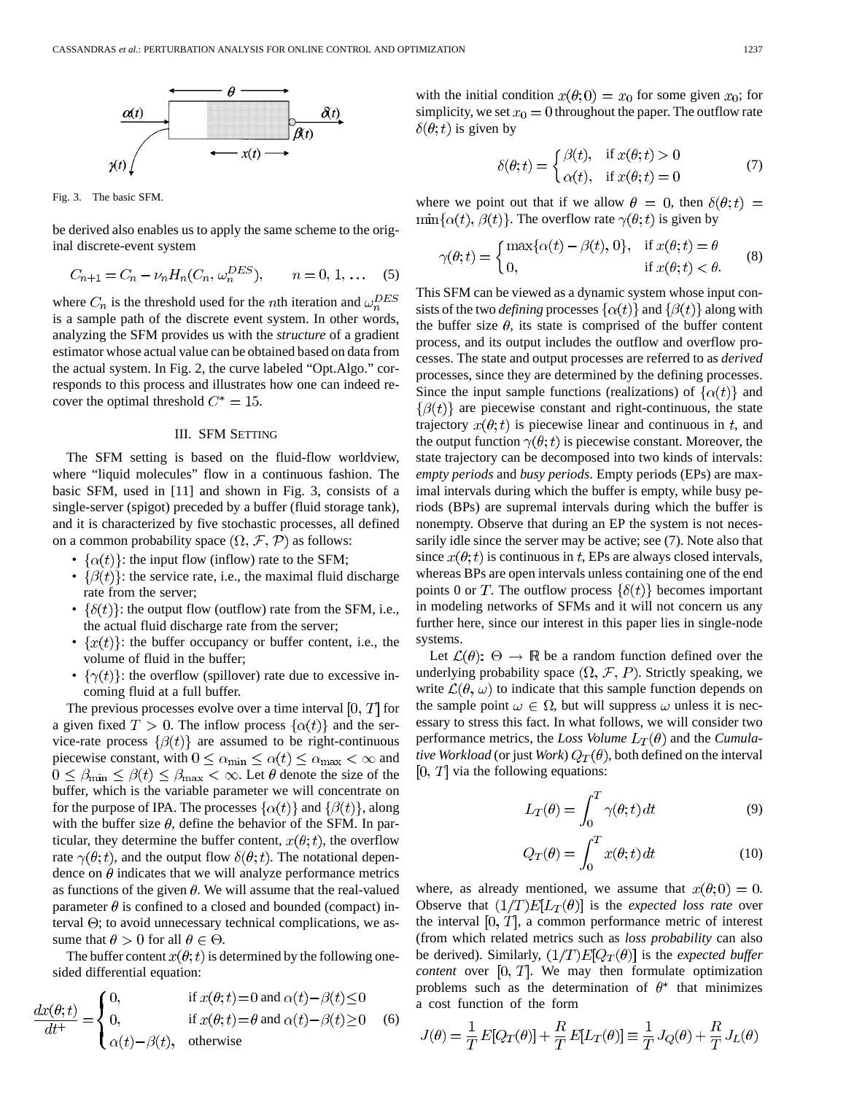

Fig. 3. The basic SFM.

be derived also enables us to apply the same scheme to the original discrete-event system

$$
C_{n+1} = C_n - \nu_n H_n(C_n, \omega_n^{DES}), \qquad n = 0, 1, ... \quad (5)
$$

where  $C_n$  is the threshold used for the  $n\text{th}$  iteration and  $\omega_n^{DES}$ is a sample path of the discrete event system. In other words, analyzing the SFM provides us with the *structure* of a gradient estimator whose actual value can be obtained based on data from the actual system. In Fig. 2, the curve labeled "Opt.Algo." corresponds to this process and illustrates how one can indeed recover the optimal threshold  $C^* = 15$ .

### III. SFM SETTING

The SFM setting is based on the fluid-flow worldview, where "liquid molecules" flow in a continuous fashion. The basic SFM, used in [11] and shown in Fig. 3, consists of a single-server (spigot) preceded by a buffer (fluid storage tank), and it is characterized by five stochastic processes, all defined on a common probability space  $(\Omega, \mathcal{F}, \mathcal{P})$  as follows:

- $\{\alpha(t)\}\$ : the input flow (inflow) rate to the SFM;
- $\{\beta(t)\}\$ : the service rate, i.e., the maximal fluid discharge rate from the server;
- $\{\delta(t)\}\$ : the output flow (outflow) rate from the SFM, i.e., the actual fluid discharge rate from the server;
- $\{x(t)\}\$ : the buffer occupancy or buffer content, i.e., the volume of fluid in the buffer;
- $\{\gamma(t)\}\$ : the overflow (spillover) rate due to excessive incoming fluid at a full buffer.

The previous processes evolve over a time interval  $[0, T]$  for a given fixed  $T > 0$ . The inflow process  $\{\alpha(t)\}\$ and the service-rate process  $\{\beta(t)\}\$ are assumed to be right-continuous piecewise constant, with  $0 \le \alpha_{\min} \le \alpha(t) \le \alpha_{\max} < \infty$  and  $0 \leq \beta_{\min} \leq \beta(t) \leq \beta_{\max} < \infty$ . Let  $\theta$  denote the size of the buffer, which is the variable parameter we will concentrate on for the purpose of IPA. The processes  $\{\alpha(t)\}\$ and  $\{\beta(t)\}\$ , along with the buffer size  $\theta$ , define the behavior of the SFM. In particular, they determine the buffer content,  $x(\theta; t)$ , the overflow rate  $\gamma(\theta; t)$ , and the output flow  $\delta(\theta; t)$ . The notational dependence on  $\theta$  indicates that we will analyze performance metrics as functions of the given  $\theta$ . We will assume that the real-valued parameter  $\theta$  is confined to a closed and bounded (compact) interval  $\Theta$ ; to avoid unnecessary technical complications, we assume that  $\theta > 0$  for all  $\theta \in \Theta$ .

The buffer content  $x(\theta; t)$  is determined by the following onesided differential equation:

$$
\frac{dx(\theta; t)}{dt^+} = \begin{cases} 0, & \text{if } x(\theta; t) = 0 \text{ and } \alpha(t) - \beta(t) \le 0\\ 0, & \text{if } x(\theta; t) = \theta \text{ and } \alpha(t) - \beta(t) \ge 0\\ \alpha(t) - \beta(t), & \text{otherwise} \end{cases}
$$
(6)

with the initial condition  $x(\theta; 0) = x_0$  for some given  $x_0$ ; for simplicity, we set  $x_0 = 0$  throughout the paper. The outflow rate  $\delta(\theta; t)$  is given by

$$
\delta(\theta; t) = \begin{cases} \beta(t), & \text{if } x(\theta; t) > 0 \\ \alpha(t), & \text{if } x(\theta; t) = 0 \end{cases}
$$
(7)

where we point out that if we allow  $\theta = 0$ , then  $\delta(\theta; t)$  =  $\min{\{\alpha(t), \beta(t)\}}$ . The overflow rate  $\gamma(\theta; t)$  is given by

$$
\gamma(\theta; t) = \begin{cases} \max\{\alpha(t) - \beta(t), 0\}, & \text{if } x(\theta; t) = \theta \\ 0, & \text{if } x(\theta; t) < \theta. \end{cases}
$$
 (8)

This SFM can be viewed as a dynamic system whose input consists of the two *defining* processes  $\{\alpha(t)\}\$ and  $\{\beta(t)\}\$ along with the buffer size  $\theta$ , its state is comprised of the buffer content process, and its output includes the outflow and overflow processes. The state and output processes are referred to as *derived* processes, since they are determined by the defining processes. Since the input sample functions (realizations) of  $\{\alpha(t)\}\$  and  $\{\beta(t)\}\$ are piecewise constant and right-continuous, the state trajectory  $x(\theta; t)$  is piecewise linear and continuous in t, and the output function  $\gamma(\theta; t)$  is piecewise constant. Moreover, the state trajectory can be decomposed into two kinds of intervals: *empty periods* and *busy periods*. Empty periods (EPs) are maximal intervals during which the buffer is empty, while busy periods (BPs) are supremal intervals during which the buffer is nonempty. Observe that during an EP the system is not necessarily idle since the server may be active; see (7). Note also that since  $x(\theta; t)$  is continuous in t, EPs are always closed intervals, whereas BPs are open intervals unless containing one of the end points 0 or T. The outflow process  $\{\delta(t)\}\$ becomes important in modeling networks of SFMs and it will not concern us any further here, since our interest in this paper lies in single-node systems.

Let  $\mathcal{L}(\theta)$ :  $\Theta \rightarrow \mathbb{R}$  be a random function defined over the underlying probability space  $(\Omega, \mathcal{F}, P)$ . Strictly speaking, we write  $\mathcal{L}(\theta, \omega)$  to indicate that this sample function depends on the sample point  $\omega \in \Omega$ , but will suppress  $\omega$  unless it is necessary to stress this fact. In what follows, we will consider two performance metrics, the *Loss Volume*  $L_T(\theta)$  and the *Cumulative Workload* (or just *Work*)  $Q_T(\theta)$ , both defined on the interval  $[0, T]$  via the following equations:

$$
L_T(\theta) = \int_0^T \gamma(\theta; t) dt
$$
 (9)

$$
Q_T(\theta) = \int_0^T x(\theta; t) dt
$$
 (10)

where, as already mentioned, we assume that  $x(\theta; 0) = 0$ . Observe that  $(1/T)E[L_T(\theta)]$  is the *expected loss rate* over the interval  $[0, T]$ , a common performance metric of interest (from which related metrics such as *loss probability* can also be derived). Similarly,  $(1/T)E[Q_T(\theta)]$  is the *expected buffer content* over  $[0, T]$ . We may then formulate optimization problems such as the determination of  $\theta^*$  that minimizes a cost function of the form

$$
J(\theta) = \frac{1}{T} E[Q_T(\theta)] + \frac{R}{T} E[L_T(\theta)] \equiv \frac{1}{T} J_Q(\theta) + \frac{R}{T} J_L(\theta)
$$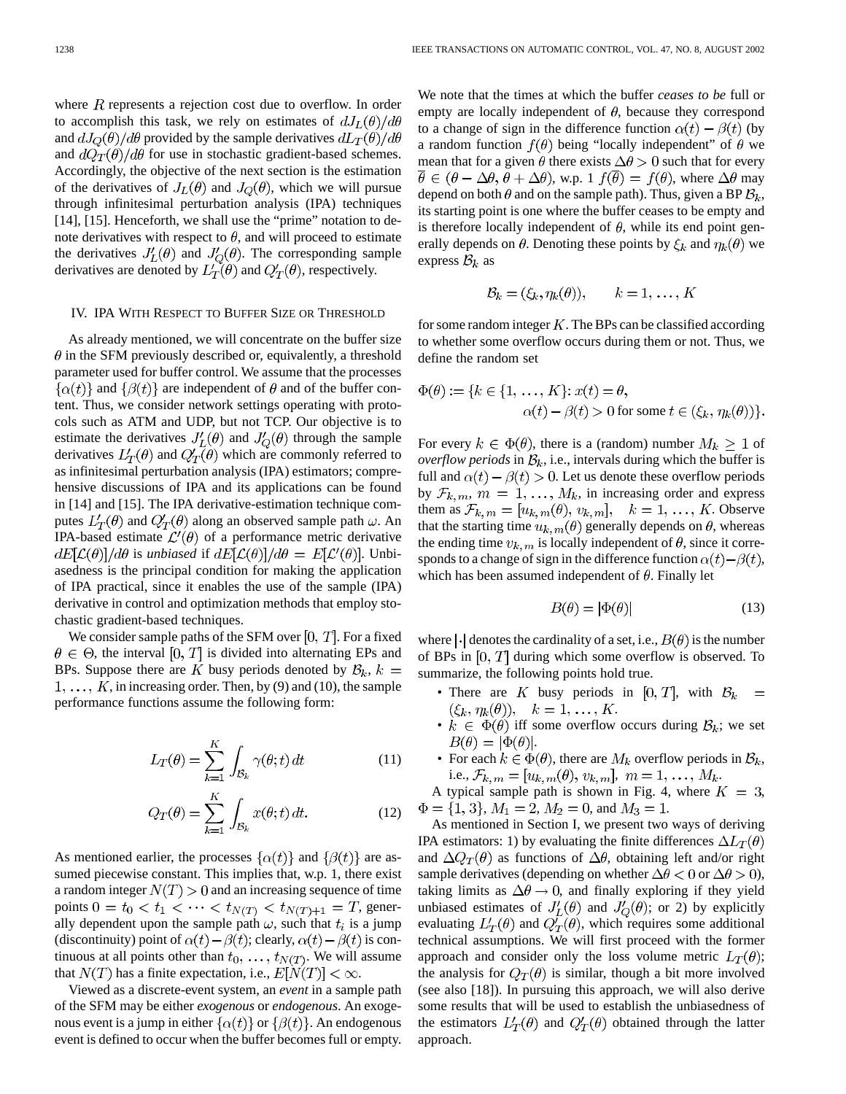where  $R$  represents a rejection cost due to overflow. In order to accomplish this task, we rely on estimates of  $dJ_L(\theta)/d\theta$ and  $dJ_{\Omega}(\theta)/d\theta$  provided by the sample derivatives  $dL_T(\theta)/d\theta$ and  $dQ_T(\theta)/d\theta$  for use in stochastic gradient-based schemes. Accordingly, the objective of the next section is the estimation of the derivatives of  $J_L(\theta)$  and  $J_Q(\theta)$ , which we will pursue through infinitesimal perturbation analysis (IPA) techniques [14], [15]. Henceforth, we shall use the "prime" notation to denote derivatives with respect to  $\theta$ , and will proceed to estimate the derivatives  $J'_L(\theta)$  and  $J'_O(\theta)$ . The corresponding sample derivatives are denoted by  $L'_{T}(\theta)$  and  $Q'_{T}(\theta)$ , respectively.

#### IV. IPA WITH RESPECT TO BUFFER SIZE OR THRESHOLD

As already mentioned, we will concentrate on the buffer size  $\theta$  in the SFM previously described or, equivalently, a threshold parameter used for buffer control. We assume that the processes  $\{\alpha(t)\}\$ and  $\{\beta(t)\}\$ are independent of  $\theta$  and of the buffer content. Thus, we consider network settings operating with protocols such as ATM and UDP, but not TCP. Our objective is to estimate the derivatives  $J'_{L}(\theta)$  and  $J'_{O}(\theta)$  through the sample derivatives  $L'_T(\theta)$  and  $Q'_T(\theta)$  which are commonly referred to as infinitesimal perturbation analysis (IPA) estimators; comprehensive discussions of IPA and its applications can be found in [14] and [15]. The IPA derivative-estimation technique computes  $L'_T(\theta)$  and  $Q'_T(\theta)$  along an observed sample path  $\omega$ . An IPA-based estimate  $\mathcal{L}'(\theta)$  of a performance metric derivative  $dE[\mathcal{L}(\theta)]/d\theta$  is *unbiased* if  $dE[\mathcal{L}(\theta)]/d\theta = E[\mathcal{L}'(\theta)]$ . Unbiasedness is the principal condition for making the application of IPA practical, since it enables the use of the sample (IPA) derivative in control and optimization methods that employ stochastic gradient-based techniques.

We consider sample paths of the SFM over  $[0, T]$ . For a fixed  $\theta \in \Theta$ , the interval [0, T] is divided into alternating EPs and BPs. Suppose there are K busy periods denoted by  $\mathcal{B}_k$ ,  $k =$  $1, \ldots, K$ , in increasing order. Then, by (9) and (10), the sample performance functions assume the following form:

$$
L_T(\theta) = \sum_{k=1}^K \int_{\mathcal{B}_k} \gamma(\theta; t) dt \tag{11}
$$

$$
Q_T(\theta) = \sum_{k=1}^K \int_{\mathcal{B}_k} x(\theta; t) dt.
$$
 (12)

As mentioned earlier, the processes  $\{\alpha(t)\}\$ and  $\{\beta(t)\}\$ are assumed piecewise constant. This implies that, w.p. 1, there exist a random integer  $N(T) > 0$  and an increasing sequence of time points  $0 = t_0 < t_1 < \cdots < t_{N(T)} < t_{N(T)+1} = T$ , generally dependent upon the sample path  $\omega$ , such that  $t_i$  is a jump (discontinuity) point of  $\alpha(t) - \beta(t)$ ; clearly,  $\alpha(t) - \beta(t)$  is continuous at all points other than  $t_0, \ldots, t_{N(T)}$ . We will assume that  $N(T)$  has a finite expectation, i.e.,  $E[N(T)] < \infty$ .

Viewed as a discrete-event system, an *event* in a sample path of the SFM may be either *exogenous* or *endogenous*. An exogenous event is a jump in either  $\{\alpha(t)\}$  or  $\{\beta(t)\}\)$ . An endogenous event is defined to occur when the buffer becomes full or empty.

We note that the times at which the buffer *ceases to be* full or empty are locally independent of  $\theta$ , because they correspond to a change of sign in the difference function  $\alpha(t) - \beta(t)$  (by a random function  $f(\theta)$  being "locally independent" of  $\theta$  we mean that for a given  $\theta$  there exists  $\Delta \theta > 0$  such that for every  $\overline{\theta} \in (\theta - \Delta\theta, \theta + \Delta\theta)$ , w.p. 1  $f(\overline{\theta}) = f(\theta)$ , where  $\Delta\theta$  may depend on both  $\theta$  and on the sample path). Thus, given a BP  $\mathcal{B}_k$ , its starting point is one where the buffer ceases to be empty and is therefore locally independent of  $\theta$ , while its end point generally depends on  $\theta$ . Denoting these points by  $\xi_k$  and  $\eta_k(\theta)$  we express  $B_k$  as

$$
\mathcal{B}_k = (\xi_k, \eta_k(\theta)), \qquad k = 1, \dots, K
$$

for some random integer  $K$ . The BPs can be classified according to whether some overflow occurs during them or not. Thus, we define the random set

$$
\Phi(\theta) := \{k \in \{1, ..., K\} : x(t) = \theta,
$$
  

$$
\alpha(t) - \beta(t) > 0 \text{ for some } t \in (\xi_k, \eta_k(\theta))\}.
$$

For every  $k \in \Phi(\theta)$ , there is a (random) number  $M_k \geq 1$  of *overflow periods* in  $\mathcal{B}_k$ , i.e., intervals during which the buffer is full and  $\alpha(t) - \beta(t) > 0$ . Let us denote these overflow periods by  $\mathcal{F}_{k,m}$ ,  $m = 1, \ldots, M_k$ , in increasing order and express them as  $\mathcal{F}_{k,m} = [u_{k,m}(\theta), v_{k,m}], \quad k = 1, ..., K$ . Observe that the starting time  $u_{k,m}(\theta)$  generally depends on  $\theta$ , whereas the ending time  $v_{k,m}$  is locally independent of  $\theta$ , since it corresponds to a change of sign in the difference function  $\alpha(t) - \beta(t)$ , which has been assumed independent of  $\theta$ . Finally let

$$
B(\theta) = |\Phi(\theta)| \tag{13}
$$

where  $\lvert \cdot \rvert$  denotes the cardinality of a set, i.e.,  $B(\theta)$  is the number of BPs in  $[0, T]$  during which some overflow is observed. To summarize, the following points hold true.

- There are K busy periods in [0, T], with  $\mathcal{B}_k$  =  $(\xi_k, \eta_k(\theta)), \quad k = 1, \ldots, K.$
- $k \in \Phi(\theta)$  iff some overflow occurs during  $\mathcal{B}_k$ ; we set  $B(\theta) = |\Phi(\theta)|.$
- For each  $k \in \Phi(\theta)$ , there are  $M_k$  overflow periods in  $\mathcal{B}_k$ , i.e.,  $\mathcal{F}_{k,m} = [u_{k,m}(\theta), v_{k,m}], m = 1, ..., M_k.$

A typical sample path is shown in Fig. 4, where  $K = 3$ ,  $\Phi = \{1, 3\}, M_1 = 2, M_2 = 0, \text{ and } M_3 = 1.$ 

As mentioned in Section I, we present two ways of deriving IPA estimators: 1) by evaluating the finite differences  $\Delta L_T(\theta)$ and  $\Delta Q_T(\theta)$  as functions of  $\Delta \theta$ , obtaining left and/or right sample derivatives (depending on whether  $\Delta \theta < 0$  or  $\Delta \theta > 0$ ), taking limits as  $\Delta\theta \rightarrow 0$ , and finally exploring if they yield unbiased estimates of  $J'_L(\theta)$  and  $J'_Q(\theta)$ ; or 2) by explicitly evaluating  $L'_T(\theta)$  and  $Q'_T(\theta)$ , which requires some additional technical assumptions. We will first proceed with the former approach and consider only the loss volume metric  $L_T(\theta)$ ; the analysis for  $Q_T(\theta)$  is similar, though a bit more involved (see also [18]). In pursuing this approach, we will also derive some results that will be used to establish the unbiasedness of the estimators  $L'_T(\theta)$  and  $Q'_T(\theta)$  obtained through the latter approach.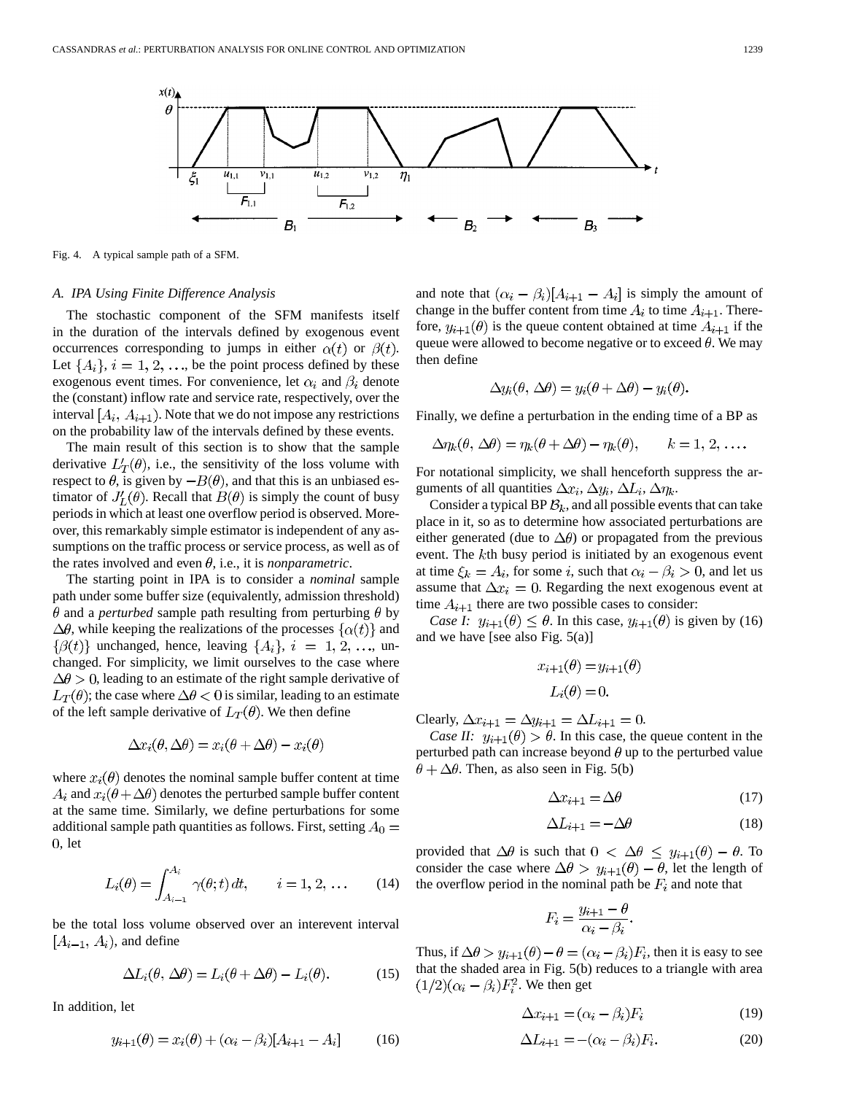

Fig. 4. A typical sample path of a SFM.

#### *A. IPA Using Finite Difference Analysis*

The stochastic component of the SFM manifests itself in the duration of the intervals defined by exogenous event occurrences corresponding to jumps in either  $\alpha(t)$  or  $\beta(t)$ . Let  $\{A_i\}, i = 1, 2, \ldots$ , be the point process defined by these exogenous event times. For convenience, let  $\alpha_i$  and  $\beta_i$  denote the (constant) inflow rate and service rate, respectively, over the interval  $[A_i, A_{i+1})$ . Note that we do not impose any restrictions on the probability law of the intervals defined by these events.

The main result of this section is to show that the sample derivative  $L'_T(\theta)$ , i.e., the sensitivity of the loss volume with respect to  $\theta$ , is given by  $-B(\theta)$ , and that this is an unbiased estimator of  $J'_L(\theta)$ . Recall that  $B(\theta)$  is simply the count of busy periods in which at least one overflow period is observed. Moreover, this remarkably simple estimator is independent of any assumptions on the traffic process or service process, as well as of the rates involved and even  $\theta$ , i.e., it is *nonparametric*.

The starting point in IPA is to consider a *nominal* sample path under some buffer size (equivalently, admission threshold)  $\theta$  and a *perturbed* sample path resulting from perturbing  $\theta$  by  $\Delta\theta$ , while keeping the realizations of the processes  $\{\alpha(t)\}\$ and  $\{\beta(t)\}\$  unchanged, hence, leaving  $\{A_i\}, i = 1, 2, \ldots$ , unchanged. For simplicity, we limit ourselves to the case where  $\Delta\theta > 0$ , leading to an estimate of the right sample derivative of  $L_T(\theta)$ ; the case where  $\Delta \theta < 0$  is similar, leading to an estimate of the left sample derivative of  $L_T(\theta)$ . We then define

$$
\Delta x_i(\theta, \Delta \theta) = x_i(\theta + \Delta \theta) - x_i(\theta)
$$

where  $x_i(\theta)$  denotes the nominal sample buffer content at time  $A_i$  and  $x_i(\theta + \Delta\theta)$  denotes the perturbed sample buffer content at the same time. Similarly, we define perturbations for some additional sample path quantities as follows. First, setting  $A_0 =$  $0, let$ 

$$
L_i(\theta) = \int_{A_{i-1}}^{A_i} \gamma(\theta; t) dt, \qquad i = 1, 2, ... \qquad (14)
$$

be the total loss volume observed over an interevent interval  $[A_{i-1}, A_i]$ , and define

$$
\Delta L_i(\theta, \Delta \theta) = L_i(\theta + \Delta \theta) - L_i(\theta). \tag{15}
$$

In addition, let

$$
y_{i+1}(\theta) = x_i(\theta) + (\alpha_i - \beta_i)[A_{i+1} - A_i]
$$
 (16)

and note that  $(\alpha_i - \beta_i)[A_{i+1} - A_i]$  is simply the amount of change in the buffer content from time  $A_i$  to time  $A_{i+1}$ . Therefore,  $y_{i+1}(\theta)$  is the queue content obtained at time  $A_{i+1}$  if the queue were allowed to become negative or to exceed  $\theta$ . We may then define

$$
\Delta y_i(\theta, \Delta \theta) = y_i(\theta + \Delta \theta) - y_i(\theta).
$$

Finally, we define a perturbation in the ending time of a BP as

$$
\Delta \eta_k(\theta, \Delta \theta) = \eta_k(\theta + \Delta \theta) - \eta_k(\theta), \qquad k = 1, 2, \dots
$$

For notational simplicity, we shall henceforth suppress the arguments of all quantities  $\Delta x_i$ ,  $\Delta y_i$ ,  $\Delta L_i$ ,  $\Delta \eta_k$ .

Consider a typical BP  $\mathcal{B}_k$ , and all possible events that can take place in it, so as to determine how associated perturbations are either generated (due to  $\Delta\theta$ ) or propagated from the previous event. The  $k$ th busy period is initiated by an exogenous event at time  $\xi_k = A_i$ , for some i, such that  $\alpha_i - \beta_i > 0$ , and let us assume that  $\Delta x_i = 0$ . Regarding the next exogenous event at time  $A_{i+1}$  there are two possible cases to consider:

*Case I:*  $y_{i+1}(\theta) \leq \theta$ . In this case,  $y_{i+1}(\theta)$  is given by (16) and we have [see also Fig. 5(a)]

$$
x_{i+1}(\theta) = y_{i+1}(\theta)
$$

$$
L_i(\theta) = 0.
$$

Clearly,  $\Delta x_{i+1} = \Delta y_{i+1} = \Delta L_{i+1} = 0$ .

*Case II:*  $y_{i+1}(\theta) > \theta$ . In this case, the queue content in the perturbed path can increase beyond  $\theta$  up to the perturbed value  $\theta + \Delta\theta$ . Then, as also seen in Fig. 5(b)

$$
\Delta x_{i+1} = \Delta \theta \tag{17}
$$

$$
\Delta L_{i+1} = -\Delta \theta \tag{18}
$$

provided that  $\Delta\theta$  is such that  $0 < \Delta\theta \leq y_{i+1}(\theta) - \theta$ . To consider the case where  $\Delta \theta > y_{i+1}(\theta) - \theta$ , let the length of the overflow period in the nominal path be  $F_i$  and note that

$$
F_i = \frac{y_{i+1} - \theta}{\alpha_i - \beta_i}.
$$

Thus, if  $\Delta \theta > y_{i+1}(\theta) - \theta = (\alpha_i - \beta_i) F_i$ , then it is easy to see that the shaded area in Fig. 5(b) reduces to a triangle with area  $(1/2)(\alpha_i - \beta_i)F_i^2$ . We then get

$$
\Delta x_{i+1} = (\alpha_i - \beta_i) F_i \tag{19}
$$

$$
\Delta L_{i+1} = -(\alpha_i - \beta_i) F_i. \tag{20}
$$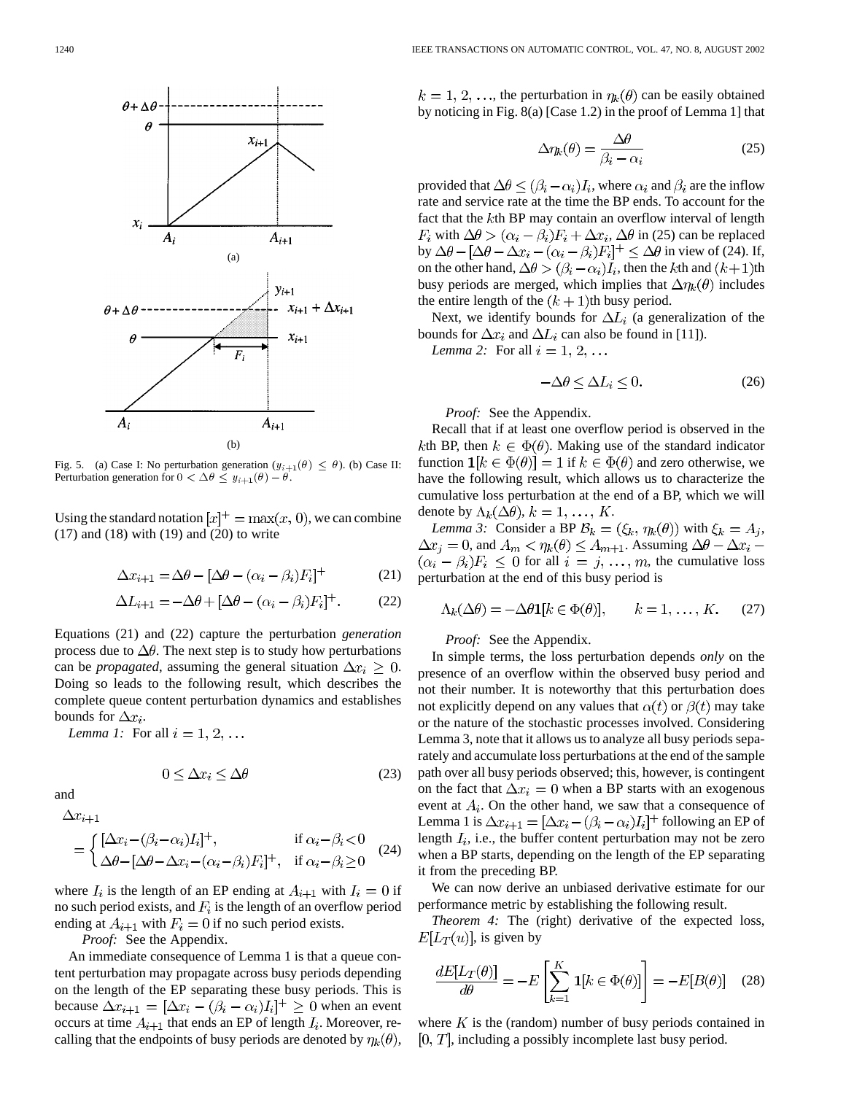

Fig. 5. (a) Case I: No perturbation generation  $(y_{i+1}(\theta) \le \theta)$ . (b) Case II: Perturbation generation for  $0 < \Delta \theta \leq y_{i+1}(\theta) - \theta$ .

Using the standard notation  $[x]^+$  = max(x, 0), we can combine  $(17)$  and  $(18)$  with  $(19)$  and  $(20)$  to write

$$
\Delta x_{i+1} = \Delta \theta - [\Delta \theta - (\alpha_i - \beta_i) F_i]^+
$$
 (21)

$$
\Delta L_{i+1} = -\Delta \theta + [\Delta \theta - (\alpha_i - \beta_i) F_i]^+.
$$
 (22)

Equations (21) and (22) capture the perturbation *generation* process due to  $\Delta\theta$ . The next step is to study how perturbations can be *propagated*, assuming the general situation  $\Delta x_i \geq 0$ . Doing so leads to the following result, which describes the complete queue content perturbation dynamics and establishes bounds for  $\Delta x_i$ .

*Lemma 1:* For all  $i = 1, 2, \ldots$ 

$$
0 \le \Delta x_i \le \Delta \theta \tag{23}
$$

and

 $\Delta x_{i+1}$ 

$$
= \begin{cases} [\Delta x_i - (\beta_i - \alpha_i)I_i]^+, & \text{if } \alpha_i - \beta_i < 0\\ \Delta \theta - [\Delta \theta - \Delta x_i - (\alpha_i - \beta_i)F_i]^+, & \text{if } \alpha_i - \beta_i \ge 0 \end{cases}
$$
 (24)

where  $I_i$  is the length of an EP ending at  $A_{i+1}$  with  $I_i = 0$  if no such period exists, and  $F_i$  is the length of an overflow period ending at  $A_{i+1}$  with  $F_i = 0$  if no such period exists.

*Proof:* See the Appendix.

An immediate consequence of Lemma 1 is that a queue content perturbation may propagate across busy periods depending on the length of the EP separating these busy periods. This is because  $\Delta x_{i+1} = [\Delta x_i - (\beta_i - \alpha_i)I_i]^+ \geq 0$  when an event occurs at time  $A_{i+1}$  that ends an EP of length  $I_i$ . Moreover, recalling that the endpoints of busy periods are denoted by  $\eta_k(\theta)$ ,  $k = 1, 2, \ldots$ , the perturbation in  $\eta_k(\theta)$  can be easily obtained by noticing in Fig. 8(a) [Case 1.2) in the proof of Lemma 1] that

$$
\Delta \eta_k(\theta) = \frac{\Delta \theta}{\beta_i - \alpha_i} \tag{25}
$$

provided that  $\Delta \theta \leq (\beta_i - \alpha_i)I_i$ , where  $\alpha_i$  and  $\beta_i$  are the inflow rate and service rate at the time the BP ends. To account for the fact that the k<sup>th</sup> BP may contain an overflow interval of length  $F_i$  with  $\Delta \theta > (\alpha_i - \beta_i)F_i + \Delta x_i$ ,  $\Delta \theta$  in (25) can be replaced by  $\Delta\theta - [\Delta\theta - \Delta x_i - (\alpha_i - \beta_i)F_i]^+ \leq \Delta\theta$  in view of (24). If, on the other hand,  $\Delta\theta > (\beta_i - \alpha_i)I_i$ , then the kth and  $(k+1)$ th busy periods are merged, which implies that  $\Delta \eta_k(\theta)$  includes the entire length of the  $(k + 1)$ th busy period.

Next, we identify bounds for  $\Delta L_i$  (a generalization of the bounds for  $\Delta x_i$  and  $\Delta L_i$  can also be found in [11]).

*Lemma 2:* For all  $i = 1, 2, \ldots$ 

$$
-\Delta\theta \le \Delta L_i \le 0. \tag{26}
$$

*Proof:* See the Appendix.

Recall that if at least one overflow period is observed in the kth BP, then  $k \in \Phi(\theta)$ . Making use of the standard indicator function  $\mathbf{1}[k \in \Phi(\theta)] = 1$  if  $k \in \Phi(\theta)$  and zero otherwise, we have the following result, which allows us to characterize the cumulative loss perturbation at the end of a BP, which we will denote by  $\Lambda_k(\Delta\theta)$ ,  $k = 1, \ldots, K$ .

*Lemma 3:* Consider a BP  $\mathcal{B}_k = (\xi_k, \eta_k(\theta))$  with  $\xi_k = A_j$ ,  $\Delta x_j = 0$ , and  $A_m < \eta_k(\theta) \le A_{m+1}$ . Assuming  $\Delta \theta - \Delta x_i$  –  $(\alpha_i - \beta_i)F_i \leq 0$  for all  $i = j, ..., m$ , the cumulative loss perturbation at the end of this busy period is

$$
\Lambda_k(\Delta \theta) = -\Delta \theta \mathbf{1}[k \in \Phi(\theta)], \qquad k = 1, \dots, K. \tag{27}
$$

*Proof:* See the Appendix.

In simple terms, the loss perturbation depends *only* on the presence of an overflow within the observed busy period and not their number. It is noteworthy that this perturbation does not explicitly depend on any values that  $\alpha(t)$  or  $\beta(t)$  may take or the nature of the stochastic processes involved. Considering Lemma 3, note that it allows us to analyze all busy periods separately and accumulate loss perturbations at the end of the sample path over all busy periods observed; this, however, is contingent on the fact that  $\Delta x_i = 0$  when a BP starts with an exogenous event at  $A_i$ . On the other hand, we saw that a consequence of Lemma 1 is  $\Delta x_{i+1} = [\Delta x_i - (\beta_i - \alpha_i)I_i]^+$  following an EP of length  $I_i$ , i.e., the buffer content perturbation may not be zero when a BP starts, depending on the length of the EP separating it from the preceding BP.

We can now derive an unbiased derivative estimate for our performance metric by establishing the following result.

*Theorem 4:* The (right) derivative of the expected loss,  $E[L_T(u)]$ , is given by

$$
\frac{dE[L_T(\theta)]}{d\theta} = -E\left[\sum_{k=1}^K \mathbf{1}[k \in \Phi(\theta)]\right] = -E[B(\theta)] \quad (28)
$$

where  $K$  is the (random) number of busy periods contained in  $[0, T]$ , including a possibly incomplete last busy period.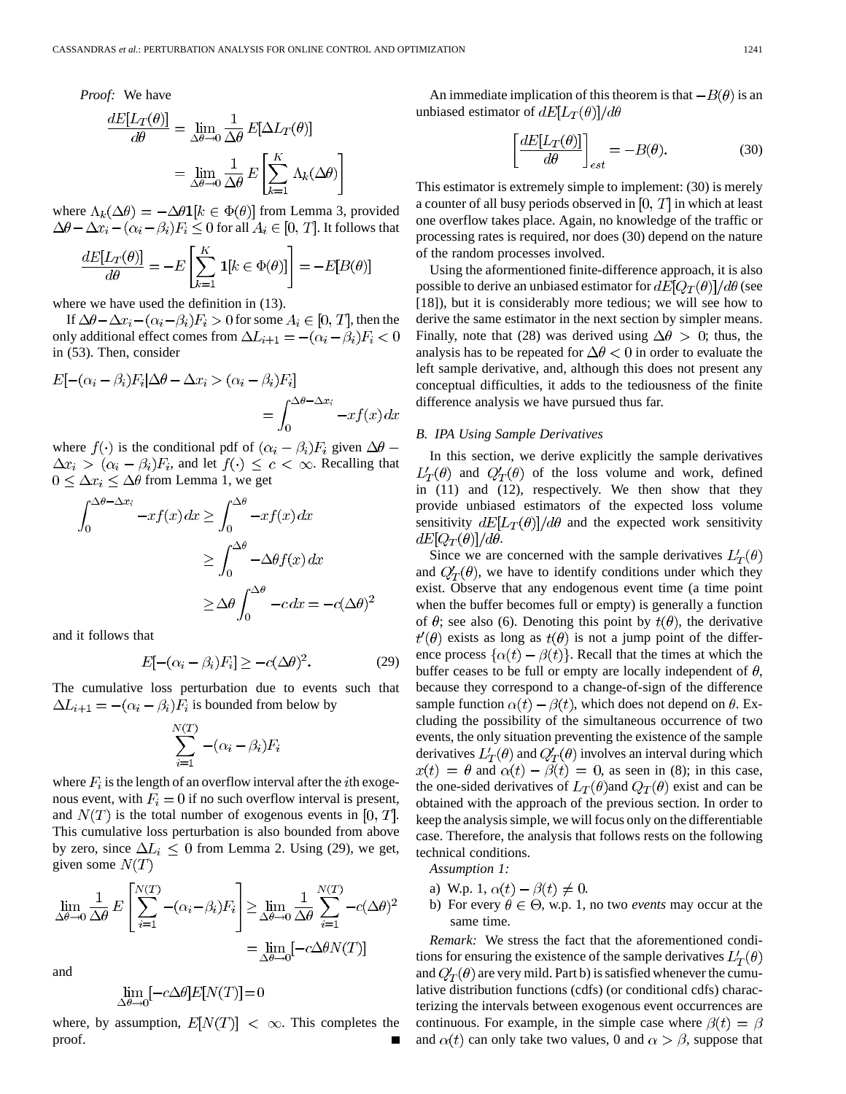*Proof:* We have

$$
\frac{dE[L_T(\theta)]}{d\theta} = \lim_{\Delta\theta \to 0} \frac{1}{\Delta\theta} E[\Delta L_T(\theta)]
$$

$$
= \lim_{\Delta\theta \to 0} \frac{1}{\Delta\theta} E\left[\sum_{k=1}^K \Lambda_k(\Delta\theta)\right]
$$

where  $\Lambda_k(\Delta\theta) = -\Delta\theta \mathbf{1}[k \in \Phi(\theta)]$  from Lemma 3, provided  $\Delta\theta - \Delta x_i - (\alpha_i - \beta_i)F_i \leq 0$  for all  $A_i \in [0, T]$ . It follows that

$$
\frac{dE[L_T(\theta)]}{d\theta} = -E\left[\sum_{k=1}^K \mathbf{1}[k \in \Phi(\theta)]\right] = -E[B(\theta)]
$$

where we have used the definition in (13).

If  $\Delta\theta - \Delta x_i - (\alpha_i - \beta_i)F_i > 0$  for some  $A_i \in [0, T]$ , then the only additional effect comes from  $\Delta L_{i+1} = -(\alpha_i - \beta_i)F_i < 0$ in (53). Then, consider

$$
E[-(\alpha_i - \beta_i)F_i | \Delta \theta - \Delta x_i > (\alpha_i - \beta_i)F_i]
$$
  
= 
$$
\int_0^{\Delta \theta - \Delta x_i} -xf(x) dx
$$

where  $f(\cdot)$  is the conditional pdf of  $(\alpha_i - \beta_i)F_i$  given  $\Delta\theta$  –  $\Delta x_i > (\alpha_i - \beta_i)F_i$ , and let  $f(\cdot) \leq c < \infty$ . Recalling that  $0 \leq \Delta x_i \leq \Delta \theta$  from Lemma 1, we get

$$
\int_0^{\Delta \theta - \Delta x_i} -xf(x) dx \ge \int_0^{\Delta \theta} -xf(x) dx
$$

$$
\ge \int_0^{\Delta \theta} -\Delta \theta f(x) dx
$$

$$
\ge \Delta \theta \int_0^{\Delta \theta} -c dx = -c(\Delta \theta)^2
$$

and it follows that

$$
E[-(\alpha_i - \beta_i)F_i] \ge -c(\Delta \theta)^2. \tag{29}
$$

The cumulative loss perturbation due to events such that  $\Delta L_{i+1} = -(\alpha_i - \beta_i)F_i$  is bounded from below by

$$
\sum_{i=1}^{N(T)} -(\alpha_i - \beta_i)F_i
$$

where  $F_i$  is the length of an overflow interval after the *i*th exogenous event, with  $F_i = 0$  if no such overflow interval is present, and  $N(T)$  is the total number of exogenous events in [0, T]. This cumulative loss perturbation is also bounded from above by zero, since  $\Delta L_i \leq 0$  from Lemma 2. Using (29), we get, given some  $N(T)$ 

$$
\lim_{\Delta \theta \to 0} \frac{1}{\Delta \theta} E\left[\sum_{i=1}^{N(T)} - (\alpha_i - \beta_i) F_i\right] \ge \lim_{\Delta \theta \to 0} \frac{1}{\Delta \theta} \sum_{i=1}^{N(T)} -c(\Delta \theta)^2
$$

$$
= \lim_{\Delta \theta \to 0} [-c\Delta \theta N(T)]
$$

and

$$
\lim_{\Delta\theta\to 0}[-c\Delta\theta]E[N(T)]=0
$$

where, by assumption,  $E[N(T)] < \infty$ . This completes the proof.

An immediate implication of this theorem is that  $-B(\theta)$  is an unbiased estimator of  $dE[L_T(\theta)]/d\theta$ 

$$
\left[\frac{dE[L_T(\theta)]}{d\theta}\right]_{est} = -B(\theta). \tag{30}
$$

This estimator is extremely simple to implement: (30) is merely a counter of all busy periods observed in  $[0, T]$  in which at least one overflow takes place. Again, no knowledge of the traffic or processing rates is required, nor does (30) depend on the nature of the random processes involved.

Using the aformentioned finite-difference approach, it is also possible to derive an unbiased estimator for  $dE[Q_T(\theta)]/d\theta$  (see [18]), but it is considerably more tedious; we will see how to derive the same estimator in the next section by simpler means. Finally, note that (28) was derived using  $\Delta\theta > 0$ ; thus, the analysis has to be repeated for  $\Delta \theta < 0$  in order to evaluate the left sample derivative, and, although this does not present any conceptual difficulties, it adds to the tediousness of the finite difference analysis we have pursued thus far.

#### *B. IPA Using Sample Derivatives*

In this section, we derive explicitly the sample derivatives  $L'_T(\theta)$  and  $Q'_T(\theta)$  of the loss volume and work, defined in (11) and (12), respectively. We then show that they provide unbiased estimators of the expected loss volume sensitivity  $dE[L_T(\theta)]/d\theta$  and the expected work sensitivity  $dE[Q_T(\theta)]/d\theta.$ 

Since we are concerned with the sample derivatives  $L'_T(\theta)$ and  $Q'_T(\theta)$ , we have to identify conditions under which they exist. Observe that any endogenous event time (a time point when the buffer becomes full or empty) is generally a function of  $\theta$ ; see also (6). Denoting this point by  $t(\theta)$ , the derivative  $t'(\theta)$  exists as long as  $t(\theta)$  is not a jump point of the difference process  $\{\alpha(t) - \beta(t)\}\)$ . Recall that the times at which the buffer ceases to be full or empty are locally independent of  $\theta$ , because they correspond to a change-of-sign of the difference sample function  $\alpha(t) - \beta(t)$ , which does not depend on  $\theta$ . Excluding the possibility of the simultaneous occurrence of two events, the only situation preventing the existence of the sample derivatives  $L'_T(\theta)$  and  $Q'_T(\theta)$  involves an interval during which  $x(t) = \theta$  and  $\alpha(t) - \beta(t) = 0$ , as seen in (8); in this case, the one-sided derivatives of  $L_T(\theta)$  and  $Q_T(\theta)$  exist and can be obtained with the approach of the previous section. In order to keep the analysis simple, we will focus only on the differentiable case. Therefore, the analysis that follows rests on the following technical conditions.

*Assumption 1:*

- a) W.p. 1,  $\alpha(t) \beta(t) \neq 0$ .
- b) For every  $\theta \in \Theta$ , w.p. 1, no two *events* may occur at the same time.

*Remark:* We stress the fact that the aforementioned conditions for ensuring the existence of the sample derivatives  $L'_{\mathcal{T}}(\theta)$ and  $Q'_T(\theta)$  are very mild. Part b) is satisfied whenever the cumulative distribution functions (cdfs) (or conditional cdfs) characterizing the intervals between exogenous event occurrences are continuous. For example, in the simple case where  $\beta(t) = \beta$ and  $\alpha(t)$  can only take two values, 0 and  $\alpha > \beta$ , suppose that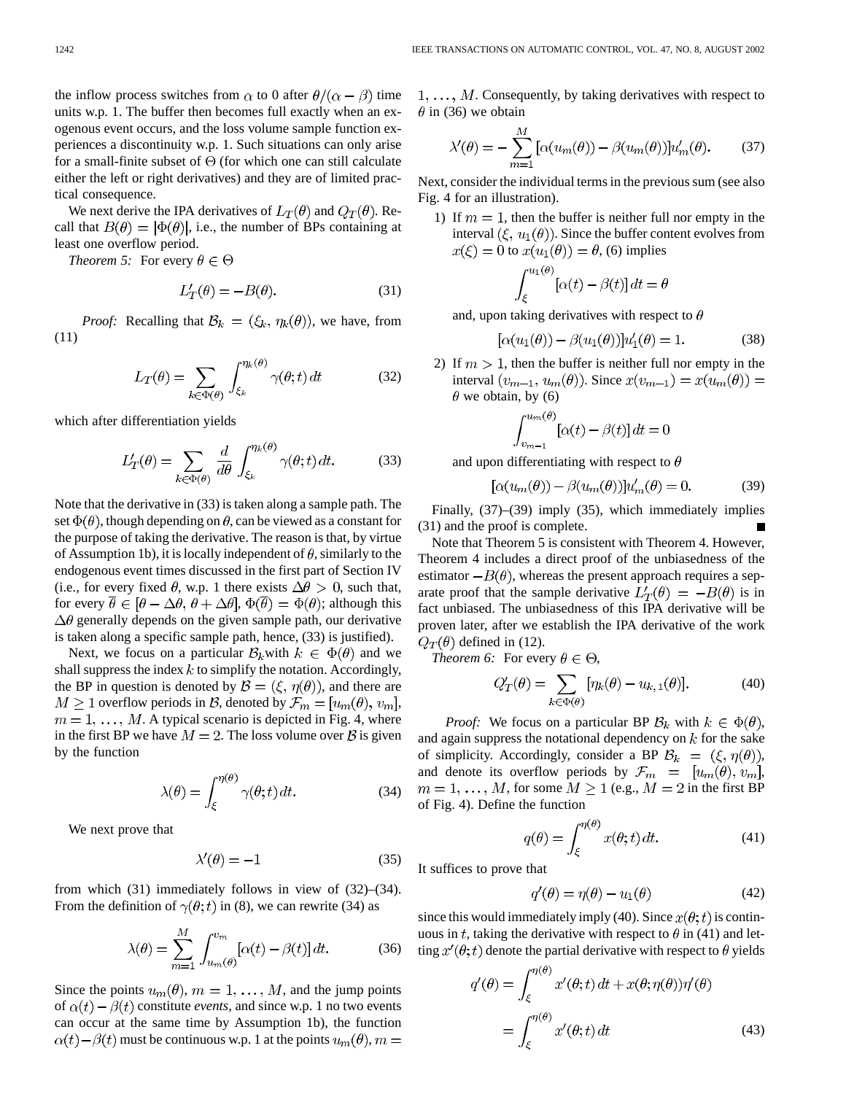the inflow process switches from  $\alpha$  to 0 after  $\theta/(\alpha - \beta)$  time units w.p. 1. The buffer then becomes full exactly when an exogenous event occurs, and the loss volume sample function experiences a discontinuity w.p. 1. Such situations can only arise for a small-finite subset of  $\Theta$  (for which one can still calculate either the left or right derivatives) and they are of limited practical consequence.

We next derive the IPA derivatives of  $L_T(\theta)$  and  $Q_T(\theta)$ . Recall that  $B(\theta) = |\Phi(\theta)|$ , i.e., the number of BPs containing at least one overflow period.

*Theorem 5:* For every  $\theta \in \Theta$ 

$$
L'_T(\theta) = -B(\theta). \tag{31}
$$

*Proof:* Recalling that  $\mathcal{B}_k = (\xi_k, \eta_k(\theta))$ , we have, from (11)

$$
L_T(\theta) = \sum_{k \in \Phi(\theta)} \int_{\xi_k}^{\eta_k(\theta)} \gamma(\theta; t) dt \tag{32}
$$

which after differentiation yields

$$
L'_T(\theta) = \sum_{k \in \Phi(\theta)} \frac{d}{d\theta} \int_{\xi_k}^{\eta_k(\theta)} \gamma(\theta; t) dt.
$$
 (33)

Note that the derivative in (33) is taken along a sample path. The set  $\Phi(\theta)$ , though depending on  $\theta$ , can be viewed as a constant for the purpose of taking the derivative. The reason is that, by virtue of Assumption 1b), it is locally independent of  $\theta$ , similarly to the endogenous event times discussed in the first part of Section IV (i.e., for every fixed  $\theta$ , w.p. 1 there exists  $\Delta \theta > 0$ , such that, for every  $\overline{\theta} \in [\theta - \Delta \theta, \theta + \Delta \theta], \Phi(\overline{\theta}) = \Phi(\theta)$ ; although this  $\Delta\theta$  generally depends on the given sample path, our derivative is taken along a specific sample path, hence, (33) is justified).

Next, we focus on a particular  $\mathcal{B}_k$  with  $k \in \Phi(\theta)$  and we shall suppress the index  $k$  to simplify the notation. Accordingly, the BP in question is denoted by  $\mathcal{B} = (\xi, \eta(\theta))$ , and there are  $M \geq 1$  overflow periods in B, denoted by  $\mathcal{F}_m = [u_m(\theta), v_m],$  $m = 1, \ldots, M$ . A typical scenario is depicted in Fig. 4, where in the first BP we have  $M = 2$ . The loss volume over  $\beta$  is given by the function

$$
\lambda(\theta) = \int_{\xi}^{\eta(\theta)} \gamma(\theta; t) dt.
$$
 (34)

We next prove that

$$
\lambda'(\theta) = -1\tag{35}
$$

from which (31) immediately follows in view of (32)–(34). From the definition of  $\gamma(\theta; t)$  in (8), we can rewrite (34) as

$$
\lambda(\theta) = \sum_{m=1}^{M} \int_{u_m(\theta)}^{v_m} [\alpha(t) - \beta(t)] dt.
$$
 (36)

Since the points  $u_m(\theta)$ ,  $m = 1, \ldots, M$ , and the jump points of  $\alpha(t) - \beta(t)$  constitute *events*, and since w.p. 1 no two events can occur at the same time by Assumption 1b), the function  $\alpha(t) - \beta(t)$  must be continuous w.p. 1 at the points  $u_m(\theta)$ ,  $m =$   $1, \ldots, M$ . Consequently, by taking derivatives with respect to  $\theta$  in (36) we obtain

$$
\lambda'(\theta) = -\sum_{m=1}^{M} \left[ \alpha(u_m(\theta)) - \beta(u_m(\theta)) \right] u'_m(\theta). \tag{37}
$$

Next, consider the individual terms in the previous sum (see also Fig. 4 for an illustration).

1) If  $m = 1$ , then the buffer is neither full nor empty in the interval  $(\xi, u_1(\theta))$ . Since the buffer content evolves from  $x(\xi) = 0$  to  $x(u_1(\theta)) = \theta$ , (6) implies  $\int_{0}^{u_1(\theta)} [\alpha(t) - \beta(t)] dt = \theta$ 

$$
\int_{\xi} \qquad [\alpha(\iota) - \rho(\iota)] \, d\iota = \sigma
$$

and, upon taking derivatives with respect to  $\theta$ 

$$
[\alpha(u_1(\theta)) - \beta(u_1(\theta))]u'_1(\theta) = 1.
$$
 (38)

2) If  $m > 1$ , then the buffer is neither full nor empty in the interval  $(v_{m-1}, u_m(\theta))$ . Since  $x(v_{m-1}) = x(u_m(\theta)) =$  $\theta$  we obtain, by (6)

$$
\int_{v_{m-1}}^{u_m(\theta)} [\alpha(t) - \beta(t)] dt = 0
$$

and upon differentiating with respect to  $\theta$ 

$$
[\alpha(u_m(\theta)) - \beta(u_m(\theta))]u'_m(\theta) = 0.
$$
 (39)

Finally, (37)–(39) imply (35), which immediately implies (31) and the proof is complete.

Note that Theorem 5 is consistent with Theorem 4. However, Theorem 4 includes a direct proof of the unbiasedness of the estimator  $-B(\theta)$ , whereas the present approach requires a separate proof that the sample derivative  $L'_T(\theta) = -B(\theta)$  is in fact unbiased. The unbiasedness of this IPA derivative will be proven later, after we establish the IPA derivative of the work  $Q_T(\theta)$  defined in (12).

*Theorem 6:* For every  $\theta \in \Theta$ ,

$$
Q'_T(\theta) = \sum_{k \in \Phi(\theta)} [\eta_k(\theta) - u_{k,1}(\theta)]. \tag{40}
$$

*Proof:* We focus on a particular BP  $\mathcal{B}_k$  with  $k \in \Phi(\theta)$ , and again suppress the notational dependency on  $k$  for the sake of simplicity. Accordingly, consider a BP  $\mathcal{B}_k = (\xi, \eta(\theta)),$ and denote its overflow periods by  $\mathcal{F}_m = [u_m(\theta), v_m],$  $m = 1, \ldots, M$ , for some  $M \ge 1$  (e.g.,  $M = 2$  in the first BP of Fig. 4). Define the function

$$
q(\theta) = \int_{\xi}^{\eta(\theta)} x(\theta; t) dt.
$$
 (41)

It suffices to prove that

$$
q'(\theta) = \eta(\theta) - u_1(\theta) \tag{42}
$$

since this would immediately imply (40). Since  $x(\theta; t)$  is continuous in t, taking the derivative with respect to  $\theta$  in (41) and letting  $x'(\theta; t)$  denote the partial derivative with respect to  $\theta$  yields

$$
q'(\theta) = \int_{\xi}^{\eta(\theta)} x'(\theta; t) dt + x(\theta; \eta(\theta)) \eta'(\theta)
$$

$$
= \int_{\xi}^{\eta(\theta)} x'(\theta; t) dt
$$
(43)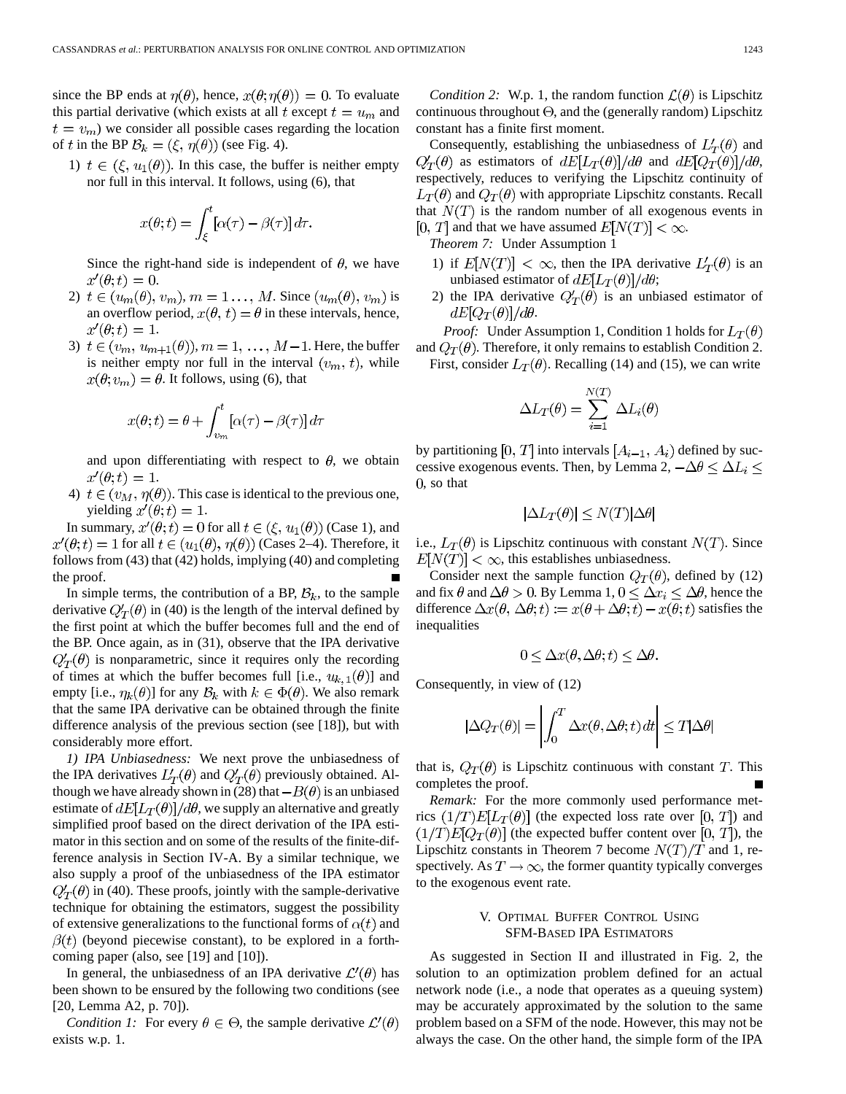since the BP ends at  $\eta(\theta)$ , hence,  $x(\theta; \eta(\theta)) = 0$ . To evaluate this partial derivative (which exists at all t except  $t = u_m$  and  $t = v_m$ ) we consider all possible cases regarding the location of t in the BP  $\mathcal{B}_k = (\xi, \eta(\theta))$  (see Fig. 4).

1)  $t \in (\xi, u_1(\theta))$ . In this case, the buffer is neither empty nor full in this interval. It follows, using (6), that

$$
x(\theta; t) = \int_{\xi}^{t} [\alpha(\tau) - \beta(\tau)] d\tau
$$

Since the right-hand side is independent of  $\theta$ , we have  $x'(\theta;t)=0.$ 

- 2)  $t \in (u_m(\theta), v_m), m = 1 \ldots, M$ . Since  $(u_m(\theta), v_m)$  is an overflow period,  $x(\theta, t) = \theta$  in these intervals, hence,  $x'(\theta;t) = 1.$
- 3)  $t \in (v_m, u_{m+1}(\theta)), m = 1, ..., M-1$ . Here, the buffer is neither empty nor full in the interval  $(v_m, t)$ , while  $x(\theta; v_m) = \theta$ . It follows, using (6), that

$$
x(\theta; t) = \theta + \int_{v_m}^{t} [\alpha(\tau) - \beta(\tau)] d\tau
$$

and upon differentiating with respect to  $\theta$ , we obtain  $x'(\theta;t)=1.$ 

4)  $t \in (v_M, \eta(\theta))$ . This case is identical to the previous one, yielding  $x'(\theta; t) = 1$ .

In summary,  $x'(\theta; t) = 0$  for all  $t \in (\xi, u_1(\theta))$  (Case 1), and  $x'(\theta, t) = 1$  for all  $t \in (u_1(\theta), \eta(\theta))$  (Cases 2–4). Therefore, it follows from (43) that (42) holds, implying (40) and completing the proof.

In simple terms, the contribution of a BP,  $\mathcal{B}_k$ , to the sample derivative  $Q_T'(\theta)$  in (40) is the length of the interval defined by the first point at which the buffer becomes full and the end of the BP. Once again, as in (31), observe that the IPA derivative  $Q'_T(\theta)$  is nonparametric, since it requires only the recording of times at which the buffer becomes full [i.e.,  $u_{k,1}(\theta)$ ] and empty [i.e.,  $\eta_k(\theta)$ ] for any  $\mathcal{B}_k$  with  $k \in \Phi(\theta)$ . We also remark that the same IPA derivative can be obtained through the finite difference analysis of the previous section (see [18]), but with considerably more effort.

*1) IPA Unbiasedness:* We next prove the unbiasedness of the IPA derivatives  $L'_T(\theta)$  and  $Q'_T(\theta)$  previously obtained. Although we have already shown in (28) that  $-B(\theta)$  is an unbiased estimate of  $dE[L_T(\theta)]/d\theta$ , we supply an alternative and greatly simplified proof based on the direct derivation of the IPA estimator in this section and on some of the results of the finite-difference analysis in Section IV-A. By a similar technique, we also supply a proof of the unbiasedness of the IPA estimator  $Q'_T(\theta)$  in (40). These proofs, jointly with the sample-derivative technique for obtaining the estimators, suggest the possibility of extensive generalizations to the functional forms of  $\alpha(t)$  and  $\beta(t)$  (beyond piecewise constant), to be explored in a forthcoming paper (also, see [19] and [10]).

In general, the unbiasedness of an IPA derivative  $\mathcal{L}'(\theta)$  has been shown to be ensured by the following two conditions (see [20, Lemma A2, p. 70]).

*Condition 1:* For every  $\theta \in \Theta$ , the sample derivative  $\mathcal{L}'(\theta)$ exists w.p. 1.

*Condition 2:* W.p. 1, the random function  $\mathcal{L}(\theta)$  is Lipschitz continuous throughout  $\Theta$ , and the (generally random) Lipschitz constant has a finite first moment.

Consequently, establishing the unbiasedness of  $L'_T(\theta)$  and  $Q'_T(\theta)$  as estimators of  $dE[L_T(\theta)]/d\theta$  and  $dE[Q_T(\theta)]/d\theta$ , respectively, reduces to verifying the Lipschitz continuity of  $L_T(\theta)$  and  $Q_T(\theta)$  with appropriate Lipschitz constants. Recall that  $N(T)$  is the random number of all exogenous events in [0, T] and that we have assumed  $E[N(T)] < \infty$ .

*Theorem 7:* Under Assumption 1

- 1) if  $E[N(T)] < \infty$ , then the IPA derivative  $L'_T(\theta)$  is an unbiased estimator of  $dE[L_T(\theta)]/d\theta$ ;
- 2) the IPA derivative  $Q'_T(\theta)$  is an unbiased estimator of  $dE[Q_T(\theta)]/d\theta.$

*Proof:* Under Assumption 1, Condition 1 holds for  $L_T(\theta)$ and  $Q_T(\theta)$ . Therefore, it only remains to establish Condition 2. First, consider  $L_T(\theta)$ . Recalling (14) and (15), we can write

$$
\Delta L_T(\theta) = \sum_{i=1}^{N(T)} \Delta L_i(\theta)
$$

by partitioning [0, T] into intervals  $[A_{i-1}, A_i]$  defined by successive exogenous events. Then, by Lemma 2,  $-\Delta\theta \leq \Delta L_i \leq$ , so that

$$
|\Delta L_T(\theta)| \le N(T) |\Delta \theta|
$$

i.e.,  $L_T(\theta)$  is Lipschitz continuous with constant  $N(T)$ . Since  $E[N(T)] < \infty$ , this establishes unbiasedness.

Consider next the sample function  $Q_T(\theta)$ , defined by (12) and fix  $\theta$  and  $\Delta\theta > 0$ . By Lemma 1,  $0 \leq \Delta x_i \leq \Delta\theta$ , hence the difference  $\Delta x(\theta, \Delta \theta; t) := x(\theta + \Delta \theta; t) - x(\theta; t)$  satisfies the inequalities

$$
0 \le \Delta x(\theta, \Delta \theta; t) \le \Delta \theta.
$$

Consequently, in view of (12)

$$
|\Delta Q_T(\theta)| = \left| \int_0^T \Delta x(\theta, \Delta \theta; t) dt \right| \le T |\Delta \theta|
$$

that is,  $Q_T(\theta)$  is Lipschitz continuous with constant T. This completes the proof.

*Remark:* For the more commonly used performance metrics  $(1/T)E[L_T(\theta)]$  (the expected loss rate over [0, T]) and  $(1/T)E[Q_T(\theta)]$  (the expected buffer content over [0, T]), the Lipschitz constants in Theorem 7 become  $N(T)/T$  and 1, respectively. As  $T \to \infty$ , the former quantity typically converges to the exogenous event rate.

# V. OPTIMAL BUFFER CONTROL USING SFM-BASED IPA ESTIMATORS

As suggested in Section II and illustrated in Fig. 2, the solution to an optimization problem defined for an actual network node (i.e., a node that operates as a queuing system) may be accurately approximated by the solution to the same problem based on a SFM of the node. However, this may not be always the case. On the other hand, the simple form of the IPA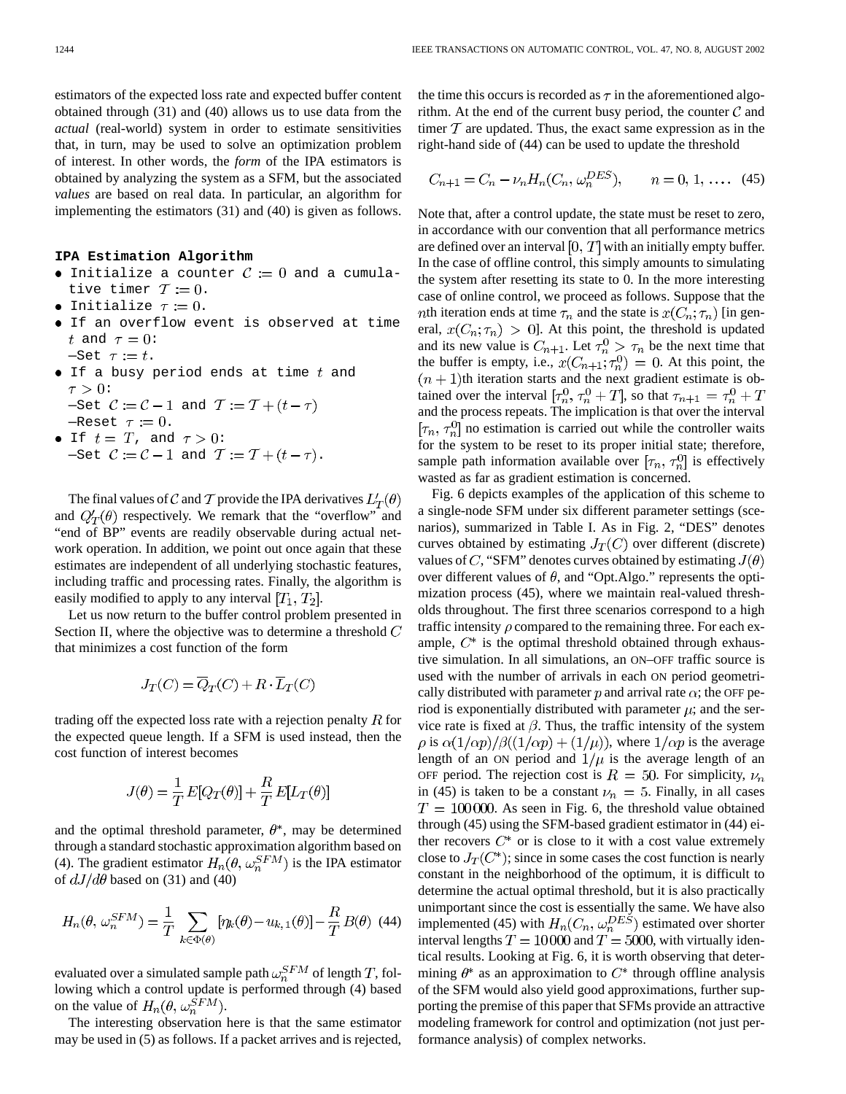estimators of the expected loss rate and expected buffer content obtained through (31) and (40) allows us to use data from the *actual* (real-world) system in order to estimate sensitivities that, in turn, may be used to solve an optimization problem of interest. In other words, the *form* of the IPA estimators is obtained by analyzing the system as a SFM, but the associated *values* are based on real data. In particular, an algorithm for implementing the estimators (31) and (40) is given as follows.

# **IPA Estimation Algorithm**

- Initialize a counter  $\mathcal{C} := 0$  and a cumulative timer  $T := 0$ .
- Initialize  $\tau := 0$ .
- If an overflow event is observed at time t and  $\tau = 0$ :
	- $-$ Set  $\tau := t$ .
- $\bullet$  If a busy period ends at time  $t$  and  $\tau>0$ :

-Set 
$$
C := C - 1
$$
 and  $T := T + (t - \tau)$   
-Reset  $\tau := 0$ .

• If  $t = T$ , and  $\tau > 0$ :  $-$ Set  $C := C - 1$  and  $T := T + (t - \tau)$ .

The final values of C and T provide the IPA derivatives  $L'_T(\theta)$ and  $Q'_T(\theta)$  respectively. We remark that the "overflow" and "end of BP" events are readily observable during actual network operation. In addition, we point out once again that these estimates are independent of all underlying stochastic features, including traffic and processing rates. Finally, the algorithm is easily modified to apply to any interval  $[T_1, T_2]$ .

Let us now return to the buffer control problem presented in Section II, where the objective was to determine a threshold  $C$ that minimizes a cost function of the form

$$
J_T(C) = \overline{Q}_T(C) + R \cdot \overline{L}_T(C)
$$

trading off the expected loss rate with a rejection penalty  $R$  for the expected queue length. If a SFM is used instead, then the cost function of interest becomes

$$
J(\theta) = \frac{1}{T} E[Q_T(\theta)] + \frac{R}{T} E[L_T(\theta)]
$$

and the optimal threshold parameter,  $\theta^*$ , may be determined through a standard stochastic approximation algorithm based on (4). The gradient estimator  $H_n(\theta, \omega_n^{SFM})$  is the IPA estimator of  $dJ/d\theta$  based on (31) and (40)

$$
H_n(\theta, \omega_n^{SFM}) = \frac{1}{T} \sum_{k \in \Phi(\theta)} [\eta_k(\theta) - u_{k,1}(\theta)] - \frac{R}{T} B(\theta)
$$
(44)

evaluated over a simulated sample path  $\omega_n^{SFM}$  of length T, following which a control update is performed through (4) based on the value of  $H_n(\theta, \omega_n^{SFM})$ .

The interesting observation here is that the same estimator may be used in (5) as follows. If a packet arrives and is rejected, the time this occurs is recorded as  $\tau$  in the aforementioned algorithm. At the end of the current busy period, the counter  $C$  and timer  $T$  are updated. Thus, the exact same expression as in the right-hand side of (44) can be used to update the threshold

$$
C_{n+1} = C_n - \nu_n H_n(C_n, \omega_n^{DES}), \qquad n = 0, 1, .... \quad (45)
$$

Note that, after a control update, the state must be reset to zero, in accordance with our convention that all performance metrics are defined over an interval  $[0, T]$  with an initially empty buffer. In the case of offline control, this simply amounts to simulating the system after resetting its state to 0. In the more interesting case of online control, we proceed as follows. Suppose that the *n*th iteration ends at time  $\tau_n$  and the state is  $x(C_n; \tau_n)$  [in general,  $x(C_n; \tau_n) > 0$ . At this point, the threshold is updated and its new value is  $C_{n+1}$ . Let  $\tau_n^0 > \tau_n$  be the next time that the buffer is empty, i.e.,  $x(C_{n+1}; \tau_n^0) = 0$ . At this point, the  $(n + 1)$ th iteration starts and the next gradient estimate is obtained over the interval  $[\tau_n^0, \tau_n^0 + T]$ , so that  $\tau_{n+1} = \tau_n^0 + T$ and the process repeats. The implication is that over the interval  $[\tau_n, \tau_n^0]$  no estimation is carried out while the controller waits for the system to be reset to its proper initial state; therefore, sample path information available over  $[\tau_n, \tau_n^0]$  is effectively wasted as far as gradient estimation is concerned.

Fig. 6 depicts examples of the application of this scheme to a single-node SFM under six different parameter settings (scenarios), summarized in Table I. As in Fig. 2, "DES" denotes curves obtained by estimating  $J_T(C)$  over different (discrete) values of C, "SFM" denotes curves obtained by estimating  $J(\theta)$ over different values of  $\theta$ , and "Opt.Algo." represents the optimization process (45), where we maintain real-valued thresholds throughout. The first three scenarios correspond to a high traffic intensity  $\rho$  compared to the remaining three. For each example,  $C^*$  is the optimal threshold obtained through exhaustive simulation. In all simulations, an ON–OFF traffic source is used with the number of arrivals in each ON period geometrically distributed with parameter p and arrival rate  $\alpha$ ; the OFF period is exponentially distributed with parameter  $\mu$ ; and the service rate is fixed at  $\beta$ . Thus, the traffic intensity of the system  $\rho$  is  $\alpha(1/\alpha p)/\beta((1/\alpha p) + (1/\mu))$ , where  $1/\alpha p$  is the average length of an ON period and  $1/\mu$  is the average length of an OFF period. The rejection cost is  $R = 50$ . For simplicity,  $\nu_n$ in (45) is taken to be a constant  $\nu_n = 5$ . Finally, in all cases  $T = 100000$ . As seen in Fig. 6, the threshold value obtained through (45) using the SFM-based gradient estimator in (44) either recovers  $C^*$  or is close to it with a cost value extremely close to  $J_T(C^*)$ ; since in some cases the cost function is nearly constant in the neighborhood of the optimum, it is difficult to determine the actual optimal threshold, but it is also practically unimportant since the cost is essentially the same. We have also implemented (45) with  $H_n(C_n, \omega_n^{DES})$  estimated over shorter interval lengths  $T = 10000$  and  $T = 5000$ , with virtually identical results. Looking at Fig. 6, it is worth observing that determining  $\theta^*$  as an approximation to  $C^*$  through offline analysis of the SFM would also yield good approximations, further supporting the premise of this paper that SFMs provide an attractive modeling framework for control and optimization (not just performance analysis) of complex networks.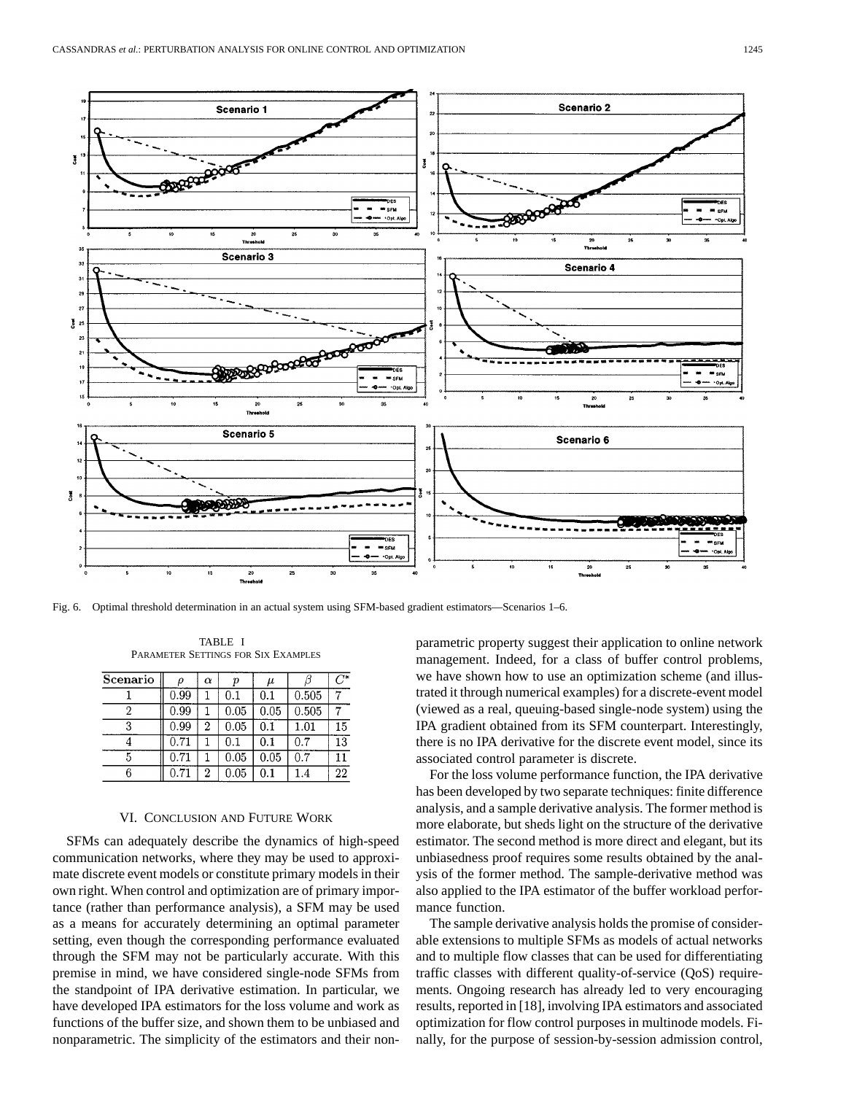

Fig. 6. Optimal threshold determination in an actual system using SFM-based gradient estimators—Scenarios 1–6.

TABLE I PARAMETER SETTINGS FOR SIX EXAMPLES

| Scenario |      | $\alpha$ | р    | μ    |       | ′″ |
|----------|------|----------|------|------|-------|----|
|          | 0.99 |          | 0.1  | 0.1  | 0.505 | 7  |
| 2        | 0.99 |          | 0.05 | 0.05 | 0.505 |    |
| 3        | 0.99 | 2        | 0.05 | 0.1  | 1.01  | 15 |
|          | 0.71 |          | 0.1  | 0.1  | 0.7   | 13 |
|          | 0.71 |          | 0.05 | 0.05 | 0.7   | 11 |
|          | 0.71 | 2        | 0.05 | 0.1  | 1.4   | 22 |

#### VI. CONCLUSION AND FUTURE WORK

SFMs can adequately describe the dynamics of high-speed communication networks, where they may be used to approximate discrete event models or constitute primary models in their own right. When control and optimization are of primary importance (rather than performance analysis), a SFM may be used as a means for accurately determining an optimal parameter setting, even though the corresponding performance evaluated through the SFM may not be particularly accurate. With this premise in mind, we have considered single-node SFMs from the standpoint of IPA derivative estimation. In particular, we have developed IPA estimators for the loss volume and work as functions of the buffer size, and shown them to be unbiased and nonparametric. The simplicity of the estimators and their nonparametric property suggest their application to online network management. Indeed, for a class of buffer control problems, we have shown how to use an optimization scheme (and illustrated it through numerical examples) for a discrete-event model (viewed as a real, queuing-based single-node system) using the IPA gradient obtained from its SFM counterpart. Interestingly, there is no IPA derivative for the discrete event model, since its associated control parameter is discrete.

For the loss volume performance function, the IPA derivative has been developed by two separate techniques: finite difference analysis, and a sample derivative analysis. The former method is more elaborate, but sheds light on the structure of the derivative estimator. The second method is more direct and elegant, but its unbiasedness proof requires some results obtained by the analysis of the former method. The sample-derivative method was also applied to the IPA estimator of the buffer workload performance function.

The sample derivative analysis holds the promise of considerable extensions to multiple SFMs as models of actual networks and to multiple flow classes that can be used for differentiating traffic classes with different quality-of-service (QoS) requirements. Ongoing research has already led to very encouraging results, reported in [18], involving IPA estimators and associated optimization for flow control purposes in multinode models. Finally, for the purpose of session-by-session admission control,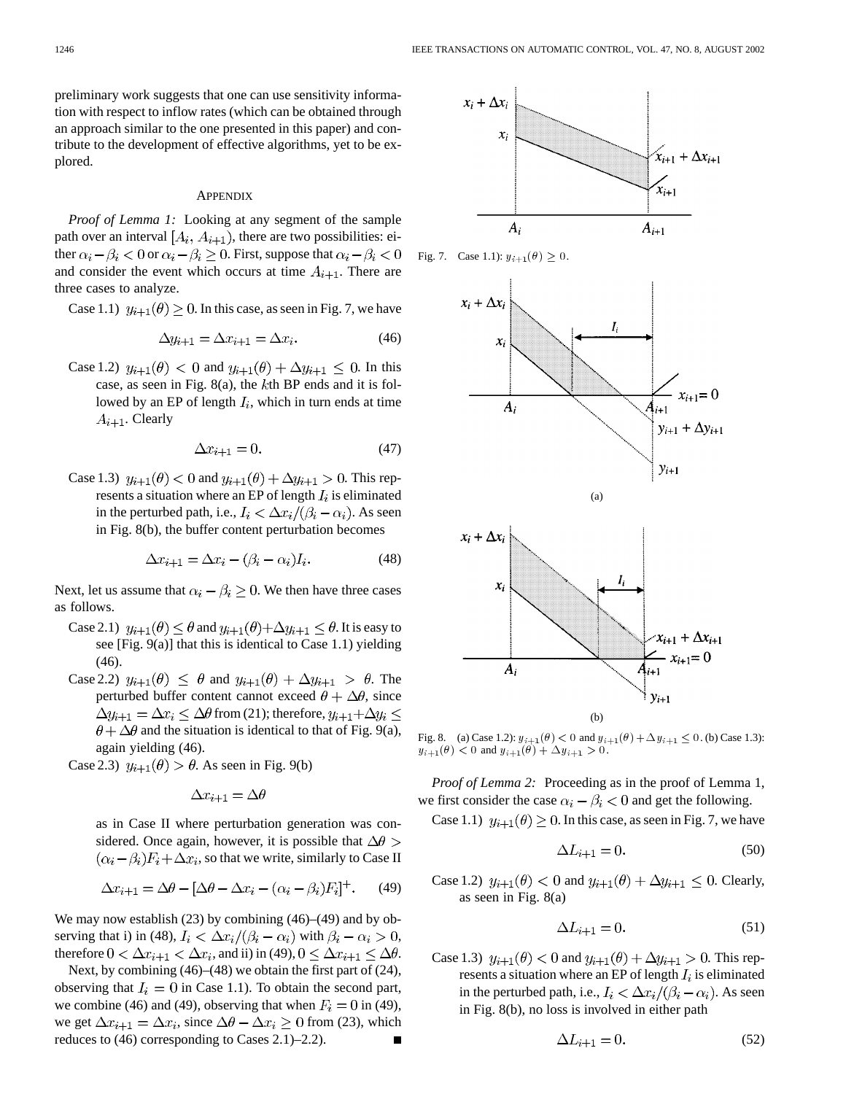preliminary work suggests that one can use sensitivity information with respect to inflow rates (which can be obtained through an approach similar to the one presented in this paper) and contribute to the development of effective algorithms, yet to be explored.

#### **APPENDIX**

*Proof of Lemma 1:* Looking at any segment of the sample path over an interval  $[A_i, A_{i+1})$ , there are two possibilities: either  $\alpha_i - \beta_i < 0$  or  $\alpha_i - \beta_i \ge 0$ . First, suppose that  $\alpha_i - \beta_i < 0$ and consider the event which occurs at time  $A_{i+1}$ . There are three cases to analyze.

Case 1.1)  $y_{i+1}(\theta) \ge 0$ . In this case, as seen in Fig. 7, we have

$$
\Delta y_{i+1} = \Delta x_{i+1} = \Delta x_i. \tag{46}
$$

Case 1.2)  $y_{i+1}(\theta) < 0$  and  $y_{i+1}(\theta) + \Delta y_{i+1} \leq 0$ . In this case, as seen in Fig. 8(a), the  $k$ th BP ends and it is followed by an EP of length  $I_i$ , which in turn ends at time  $A_{i+1}$ . Clearly

$$
\Delta x_{i+1} = 0.\tag{47}
$$

Case 1.3)  $y_{i+1}(\theta) < 0$  and  $y_{i+1}(\theta) + \Delta y_{i+1} > 0$ . This represents a situation where an EP of length  $I_i$  is eliminated in the perturbed path, i.e.,  $I_i < \Delta x_i/(\beta_i - \alpha_i)$ . As seen in Fig. 8(b), the buffer content perturbation becomes

$$
\Delta x_{i+1} = \Delta x_i - (\beta_i - \alpha_i) I_i.
$$
 (48)

Next, let us assume that  $\alpha_i - \beta_i \geq 0$ . We then have three cases as follows.

- Case 2.1)  $y_{i+1}(\theta) \leq \theta$  and  $y_{i+1}(\theta) + \Delta y_{i+1} \leq \theta$ . It is easy to see [Fig. 9(a)] that this is identical to Case 1.1) yielding (46).
- Case 2.2)  $y_{i+1}(\theta) \leq \theta$  and  $y_{i+1}(\theta) + \Delta y_{i+1} > \theta$ . The perturbed buffer content cannot exceed  $\theta + \Delta\theta$ , since  $\Delta y_{i+1} = \Delta x_i \leq \Delta \theta$  from (21); therefore,  $y_{i+1} + \Delta y_i \leq$  $\theta + \Delta\theta$  and the situation is identical to that of Fig. 9(a), again yielding (46).

Case 2.3)  $y_{i+1}(\theta) > \theta$ . As seen in Fig. 9(b)

$$
\Delta x_{i+1} = \Delta \theta
$$

as in Case II where perturbation generation was considered. Once again, however, it is possible that  $\Delta\theta$  $(\alpha_i - \beta_i)F_i + \Delta x_i$ , so that we write, similarly to Case II

$$
\Delta x_{i+1} = \Delta \theta - [\Delta \theta - \Delta x_i - (\alpha_i - \beta_i) F_i]^+.
$$
 (49)

We may now establish (23) by combining (46)–(49) and by observing that i) in (48),  $I_i < \Delta x_i/(\beta_i - \alpha_i)$  with  $\beta_i - \alpha_i > 0$ , therefore  $0 < \Delta x_{i+1} < \Delta x_i$ , and ii) in (49),  $0 \leq \Delta x_{i+1} \leq \Delta \theta$ .

Next, by combining (46)–(48) we obtain the first part of (24), observing that  $I_i = 0$  in Case 1.1). To obtain the second part, we combine (46) and (49), observing that when  $F_i = 0$  in (49), we get  $\Delta x_{i+1} = \Delta x_i$ , since  $\Delta \theta - \Delta x_i \geq 0$  from (23), which reduces to (46) corresponding to Cases 2.1)–2.2).



Fig. 8. (a) Case 1.2):  $y_{i+1}(\theta) < 0$  and  $y_{i+1}(\theta) + \Delta y_{i+1} \le 0$ . (b) Case 1.3):  $y_{i+1}(\theta) < 0$  and  $y_{i+1}(\theta) + \Delta y_{i+1} > 0$ .

*Proof of Lemma 2:* Proceeding as in the proof of Lemma 1, we first consider the case  $\alpha_i - \beta_i < 0$  and get the following.

Case 1.1)  $y_{i+1}(\theta) \geq 0$ . In this case, as seen in Fig. 7, we have

$$
\Delta L_{i+1} = 0.\t\t(50)
$$

Case 1.2)  $y_{i+1}(\theta) < 0$  and  $y_{i+1}(\theta) + \Delta y_{i+1} \leq 0$ . Clearly, as seen in Fig. 8(a)

$$
\Delta L_{i+1} = 0.\t\t(51)
$$

Case 1.3)  $y_{i+1}(\theta) < 0$  and  $y_{i+1}(\theta) + \Delta y_{i+1} > 0$ . This represents a situation where an EP of length  $I_i$  is eliminated in the perturbed path, i.e.,  $I_i < \Delta x_i/(\beta_i - \alpha_i)$ . As seen in Fig. 8(b), no loss is involved in either path

$$
\Delta L_{i+1} = 0.\t\t(52)
$$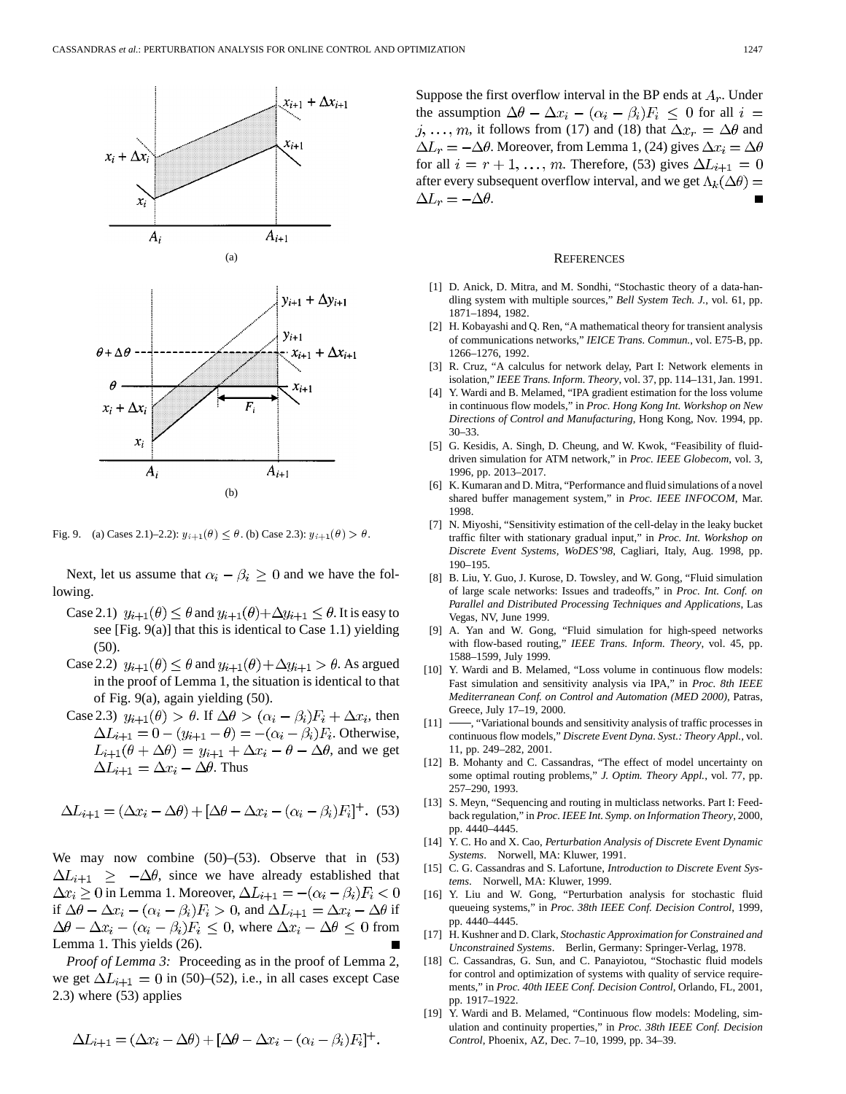

Fig. 9. (a) Cases 2.1)–2.2):  $y_{i+1}(\theta) \leq \theta$ . (b) Case 2.3):  $y_{i+1}(\theta) > \theta$ .

Next, let us assume that  $\alpha_i - \beta_i \geq 0$  and we have the following.

- Case 2.1)  $y_{i+1}(\theta) \le \theta$  and  $y_{i+1}(\theta) + \Delta y_{i+1} \le \theta$ . It is easy to see [Fig. 9(a)] that this is identical to Case 1.1) yielding (50).
- Case 2.2)  $y_{i+1}(\theta) \leq \theta$  and  $y_{i+1}(\theta) + \Delta y_{i+1} > \theta$ . As argued in the proof of Lemma 1, the situation is identical to that of Fig. 9(a), again yielding (50).
- Case 2.3)  $y_{i+1}(\theta) > \theta$ . If  $\Delta \theta > (\alpha_i \beta_i)F_i + \Delta x_i$ , then  $\Delta L_{i+1} = 0 - (y_{i+1} - \theta) = -(\alpha_i - \beta_i)F_i.$  Otherwise,  $L_{i+1}(\theta + \Delta \theta) = y_{i+1} + \Delta x_i - \theta - \Delta \theta$ , and we get  $\Delta L_{i+1} = \Delta x_i - \Delta \theta$ . Thus

$$
\Delta L_{i+1} = (\Delta x_i - \Delta \theta) + [\Delta \theta - \Delta x_i - (\alpha_i - \beta_i) F_i]^+.
$$
 (53)

We may now combine  $(50)$ – $(53)$ . Observe that in  $(53)$  $\Delta L_{i+1} \geq -\Delta \theta$ , since we have already established that  $\Delta x_i \geq 0$  in Lemma 1. Moreover,  $\Delta L_{i+1} = -(\alpha_i - \beta_i)F_i < 0$ if  $\Delta\theta - \Delta x_i - (\alpha_i - \beta_i)F_i > 0$ , and  $\Delta L_{i+1} = \Delta x_i - \Delta\theta$  if  $\Delta\theta - \Delta x_i - (\alpha_i - \beta_i)F_i \leq 0$ , where  $\Delta x_i - \Delta\theta \leq 0$  from Lemma 1. This yields (26).

*Proof of Lemma 3:* Proceeding as in the proof of Lemma 2, we get  $\Delta L_{i+1} = 0$  in (50)–(52), i.e., in all cases except Case 2.3) where (53) applies

$$
\Delta L_{i+1} = (\Delta x_i - \Delta \theta) + [\Delta \theta - \Delta x_i - (\alpha_i - \beta_i) F_i]^+.
$$

Suppose the first overflow interval in the BP ends at  $A_r$ . Under the assumption  $\Delta\theta - \Delta x_i - (\alpha_i - \beta_i)F_i \leq 0$  for all  $i =$  $j, \ldots, m$ , it follows from (17) and (18) that  $\Delta x_r = \Delta \theta$  and  $\Delta L_r = -\Delta \theta$ . Moreover, from Lemma 1, (24) gives  $\Delta x_i = \Delta \theta$ for all  $i = r + 1, \ldots, m$ . Therefore, (53) gives  $\Delta L_{i+1} = 0$ after every subsequent overflow interval, and we get  $\Lambda_k(\Delta\theta)$  =  $\Delta L_r = -\Delta \theta.$ 

#### **REFERENCES**

- [1] D. Anick, D. Mitra, and M. Sondhi, "Stochastic theory of a data-handling system with multiple sources," *Bell System Tech. J.*, vol. 61, pp. 1871–1894, 1982.
- [2] H. Kobayashi and Q. Ren, "A mathematical theory for transient analysis of communications networks," *IEICE Trans. Commun.*, vol. E75-B, pp. 1266–1276, 1992.
- [3] R. Cruz, "A calculus for network delay, Part I: Network elements in isolation," *IEEE Trans. Inform. Theory*, vol. 37, pp. 114–131, Jan. 1991.
- [4] Y. Wardi and B. Melamed, "IPA gradient estimation for the loss volume in continuous flow models," in *Proc. Hong Kong Int. Workshop on New Directions of Control and Manufacturing*, Hong Kong, Nov. 1994, pp. 30–33.
- [5] G. Kesidis, A. Singh, D. Cheung, and W. Kwok, "Feasibility of fluiddriven simulation for ATM network," in *Proc. IEEE Globecom*, vol. 3, 1996, pp. 2013–2017.
- [6] K. Kumaran and D. Mitra, "Performance and fluid simulations of a novel shared buffer management system," in *Proc. IEEE INFOCOM*, Mar. 1998.
- [7] N. Miyoshi, "Sensitivity estimation of the cell-delay in the leaky bucket traffic filter with stationary gradual input," in *Proc. Int. Workshop on Discrete Event Systems, WoDES'98*, Cagliari, Italy, Aug. 1998, pp. 190–195.
- [8] B. Liu, Y. Guo, J. Kurose, D. Towsley, and W. Gong, "Fluid simulation of large scale networks: Issues and tradeoffs," in *Proc. Int. Conf. on Parallel and Distributed Processing Techniques and Applications*, Las Vegas, NV, June 1999.
- [9] A. Yan and W. Gong, "Fluid simulation for high-speed networks with flow-based routing," *IEEE Trans. Inform. Theory*, vol. 45, pp. 1588–1599, July 1999.
- [10] Y. Wardi and B. Melamed, "Loss volume in continuous flow models: Fast simulation and sensitivity analysis via IPA," in *Proc. 8th IEEE Mediterranean Conf. on Control and Automation (MED 2000)*, Patras, Greece, July 17–19, 2000.
- [11]  $\frac{1}{11}$   $\frac{1}{11}$   $\frac{1}{11}$   $\frac{1}{11}$   $\frac{1}{11}$   $\frac{1}{11}$   $\frac{1}{11}$   $\frac{1}{11}$   $\frac{1}{11}$   $\frac{1}{11}$   $\frac{1}{11}$   $\frac{1}{11}$   $\frac{1}{11}$   $\frac{1}{11}$   $\frac{1}{11}$   $\frac{1}{11}$   $\frac{1}{11}$   $\frac{1}{11}$   $\frac{1}{11}$   $\frac{1}{11$ continuous flow models," *Discrete Event Dyna. Syst.: Theory Appl.*, vol. 11, pp. 249–282, 2001.
- [12] B. Mohanty and C. Cassandras, "The effect of model uncertainty on some optimal routing problems," *J. Optim. Theory Appl.*, vol. 77, pp. 257–290, 1993.
- [13] S. Meyn, "Sequencing and routing in multiclass networks. Part I: Feedback regulation," in *Proc. IEEE Int. Symp. on Information Theory*, 2000, pp. 4440–4445.
- [14] Y. C. Ho and X. Cao, *Perturbation Analysis of Discrete Event Dynamic Systems*. Norwell, MA: Kluwer, 1991.
- [15] C. G. Cassandras and S. Lafortune, *Introduction to Discrete Event Systems*. Norwell, MA: Kluwer, 1999.
- [16] Y. Liu and W. Gong, "Perturbation analysis for stochastic fluid queueing systems," in *Proc. 38th IEEE Conf. Decision Control*, 1999, pp. 4440–4445.
- [17] H. Kushner and D. Clark, *Stochastic Approximation for Constrained and Unconstrained Systems*. Berlin, Germany: Springer-Verlag, 1978.
- [18] C. Cassandras, G. Sun, and C. Panayiotou, "Stochastic fluid models for control and optimization of systems with quality of service requirements," in *Proc. 40th IEEE Conf. Decision Control*, Orlando, FL, 2001, pp. 1917–1922.
- [19] Y. Wardi and B. Melamed, "Continuous flow models: Modeling, simulation and continuity properties," in *Proc. 38th IEEE Conf. Decision Control*, Phoenix, AZ, Dec. 7–10, 1999, pp. 34–39.